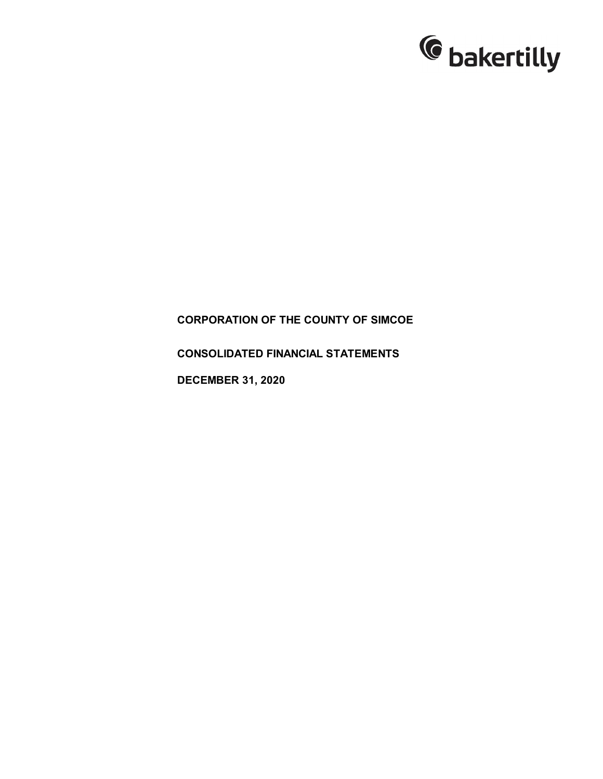

**CONSOLIDATED FINANCIAL STATEMENTS**

**DECEMBER 31, 2020**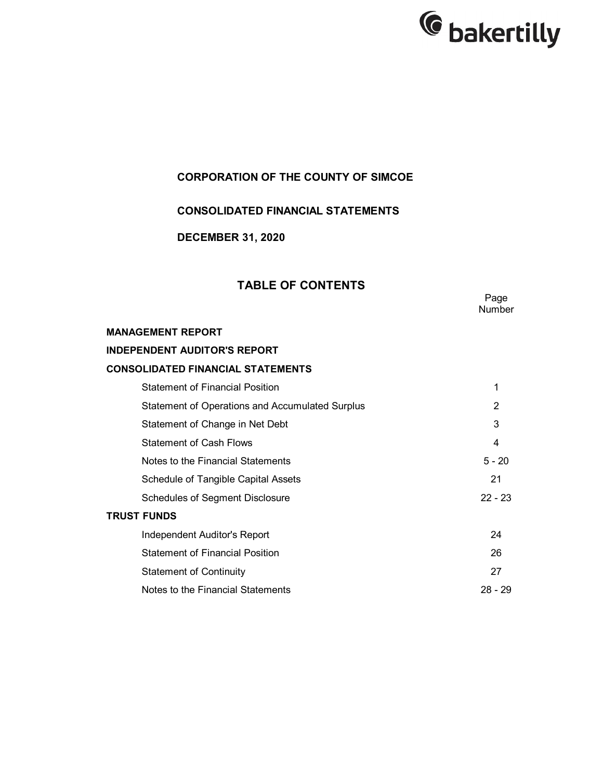

## **CONSOLIDATED FINANCIAL STATEMENTS**

## **DECEMBER 31, 2020**

## **TABLE OF CONTENTS**

Page Number

## **MANAGEMENT REPORT**

#### **INDEPENDENT AUDITOR'S REPORT**

## **CONSOLIDATED FINANCIAL STATEMENTS**

| <b>Statement of Financial Position</b>          | 1         |
|-------------------------------------------------|-----------|
| Statement of Operations and Accumulated Surplus | 2         |
| Statement of Change in Net Debt                 | 3         |
| <b>Statement of Cash Flows</b>                  | 4         |
| Notes to the Financial Statements               | $5 - 20$  |
| Schedule of Tangible Capital Assets             | 21        |
| <b>Schedules of Segment Disclosure</b>          | $22 - 23$ |
| <b>TRUST FUNDS</b>                              |           |
| Independent Auditor's Report                    | 24        |
| <b>Statement of Financial Position</b>          | 26        |
| <b>Statement of Continuity</b>                  | 27        |
| Notes to the Financial Statements               | $28 - 29$ |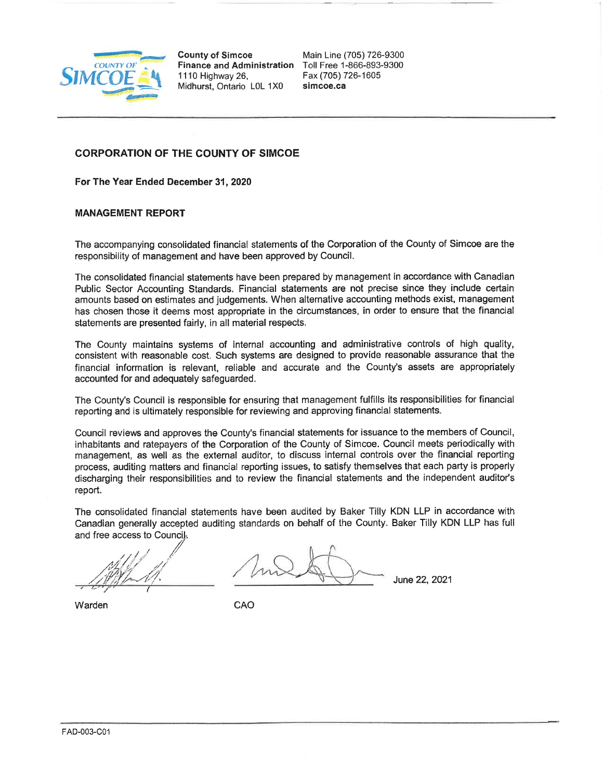

**County of Simcoe Finance and Administration** 1110 Highway 26, Midhurst, Ontario L0L 1X0

Main Line (705) 726-9300 Toll Free 1-866-893-9300 Fax (705) 726-1605 simcoe.ca

## **CORPORATION OF THE COUNTY OF SIMCOE**

For The Year Ended December 31, 2020

## **MANAGEMENT REPORT**

The accompanying consolidated financial statements of the Corporation of the County of Simcoe are the responsibility of management and have been approved by Council.

The consolidated financial statements have been prepared by management in accordance with Canadian Public Sector Accounting Standards. Financial statements are not precise since they include certain amounts based on estimates and judgements. When alternative accounting methods exist, management has chosen those it deems most appropriate in the circumstances, in order to ensure that the financial statements are presented fairly, in all material respects.

The County maintains systems of internal accounting and administrative controls of high quality. consistent with reasonable cost. Such systems are designed to provide reasonable assurance that the financial information is relevant, reliable and accurate and the County's assets are appropriately accounted for and adequately safeguarded.

The County's Council is responsible for ensuring that management fulfills its responsibilities for financial reporting and is ultimately responsible for reviewing and approving financial statements.

Council reviews and approves the County's financial statements for issuance to the members of Council, inhabitants and ratepayers of the Corporation of the County of Simcoe. Council meets periodically with management, as well as the external auditor, to discuss internal controls over the financial reporting process, auditing matters and financial reporting issues, to satisfy themselves that each party is properly discharging their responsibilities and to review the financial statements and the independent auditor's report.

The consolidated financial statements have been audited by Baker Tilly KDN LLP in accordance with Canadian generally accepted auditing standards on behalf of the County. Baker Tilly KDN LLP has full and free access to Council.

June 22, 2021

Warden

CAO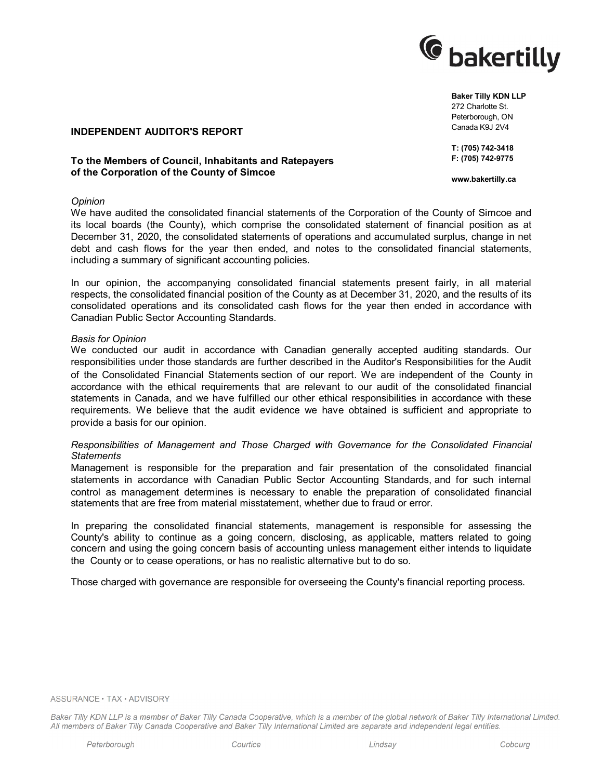

## **Baker Tilly KDN LLP**

272 Charlotte St. Peterborough, ON Canada K9J 2V4

**T: (705) 742-3418 F: (705) 742-9775**

**www.bakertilly.ca**

## **INDEPENDENT AUDITOR'S REPORT**

## **To the Members of Council, Inhabitants and Ratepayers of the Corporation of the County of Simcoe**

## *Opinion*

We have audited the consolidated financial statements of the Corporation of the County of Simcoe and its local boards (the County), which comprise the consolidated statement of financial position as at December 31, 2020, the consolidated statements of operations and accumulated surplus, change in net debt and cash flows for the year then ended, and notes to the consolidated financial statements, including a summary of significant accounting policies.

In our opinion, the accompanying consolidated financial statements present fairly, in all material respects, the consolidated financial position of the County as at December 31, 2020, and the results of its consolidated operations and its consolidated cash flows for the year then ended in accordance with Canadian Public Sector Accounting Standards.

## *Basis for Opinion*

We conducted our audit in accordance with Canadian generally accepted auditing standards. Our responsibilities under those standards are further described in the Auditor's Responsibilities for the Audit of the Consolidated Financial Statements section of our report. We are independent of the County in accordance with the ethical requirements that are relevant to our audit of the consolidated financial statements in Canada, and we have fulfilled our other ethical responsibilities in accordance with these requirements. We believe that the audit evidence we have obtained is sufficient and appropriate to provide a basis for our opinion.

## *Responsibilities of Management and Those Charged with Governance for the Consolidated Financial Statements*

Management is responsible for the preparation and fair presentation of the consolidated financial statements in accordance with Canadian Public Sector Accounting Standards, and for such internal control as management determines is necessary to enable the preparation of consolidated financial statements that are free from material misstatement, whether due to fraud or error.

In preparing the consolidated financial statements, management is responsible for assessing the County's ability to continue as a going concern, disclosing, as applicable, matters related to going concern and using the going concern basis of accounting unless management either intends to liquidate the County or to cease operations, or has no realistic alternative but to do so.

Those charged with governance are responsible for overseeing the County's financial reporting process.

#### ASSURANCE · TAX · ADVISORY

Baker Tilly KDN LLP is a member of Baker Tilly Canada Cooperative, which is a member of the global network of Baker Tilly International Limited. All members of Baker Tilly Canada Cooperative and Baker Tilly International Limited are separate and independent legal entities.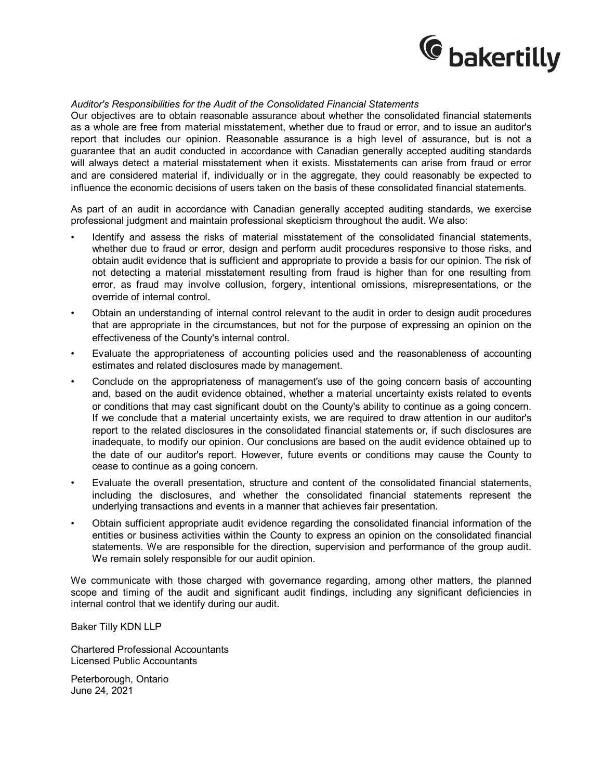

#### *Auditor's Responsibilities for the Audit of the Consolidated Financial Statements*

Our objectives are to obtain reasonable assurance about whether the consolidated financial statements as a whole are free from material misstatement, whether due to fraud or error, and to issue an auditor's report that includes our opinion. Reasonable assurance is a high level of assurance, but is not a guarantee that an audit conducted in accordance with Canadian generally accepted auditing standards will always detect a material misstatement when it exists. Misstatements can arise from fraud or error and are considered material if, individually or in the aggregate, they could reasonably be expected to influence the economic decisions of users taken on the basis of these consolidated financial statements.

As part of an audit in accordance with Canadian generally accepted auditing standards, we exercise professional judgment and maintain professional skepticism throughout the audit. We also:

- Identify and assess the risks of material misstatement of the consolidated financial statements, whether due to fraud or error, design and perform audit procedures responsive to those risks, and obtain audit evidence that is sufficient and appropriate to provide a basis for our opinion. The risk of not detecting a material misstatement resulting from fraud is higher than for one resulting from error, as fraud may involve collusion, forgery, intentional omissions, misrepresentations, or the override of internal control.
- Obtain an understanding of internal control relevant to the audit in order to design audit procedures that are appropriate in the circumstances, but not for the purpose of expressing an opinion on the effectiveness of the County's internal control.
- Evaluate the appropriateness of accounting policies used and the reasonableness of accounting estimates and related disclosures made by management.
- Conclude on the appropriateness of management's use of the going concern basis of accounting and, based on the audit evidence obtained, whether a material uncertainty exists related to events or conditions that may cast significant doubt on the County's ability to continue as a going concern. If we conclude that a material uncertainty exists, we are required to draw attention in our auditor's report to the related disclosures in the consolidated financial statements or, if such disclosures are inadequate, to modify our opinion. Our conclusions are based on the audit evidence obtained up to the date of our auditor's report. However, future events or conditions may cause the County to cease to continue as a going concern.
- Evaluate the overall presentation, structure and content of the consolidated financial statements, including the disclosures, and whether the consolidated financial statements represent the underlying transactions and events in a manner that achieves fair presentation.
- Obtain sufficient appropriate audit evidence regarding the consolidated financial information of the entities or business activities within the County to express an opinion on the consolidated financial statements. We are responsible for the direction, supervision and performance of the group audit. We remain solely responsible for our audit opinion.

We communicate with those charged with governance regarding, among other matters, the planned scope and timing of the audit and significant audit findings, including any significant deficiencies in internal control that we identify during our audit.

Baker Tilly KDN LLP

Chartered Professional Accountants Licensed Public Accountants

Peterborough, Ontario June 24, 2021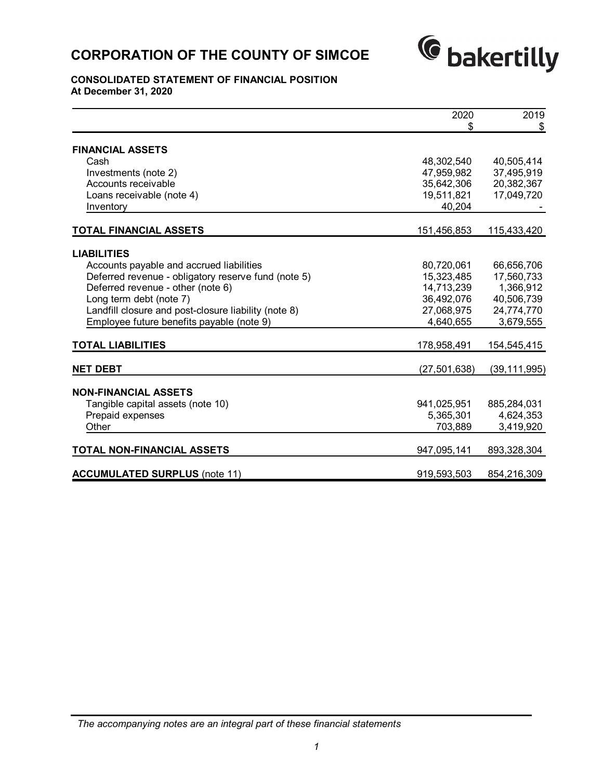

## **CONSOLIDATED STATEMENT OF FINANCIAL POSITION At December 31, 2020**

|                                                      | 2020           | 2019           |
|------------------------------------------------------|----------------|----------------|
|                                                      | \$             | \$             |
| <b>FINANCIAL ASSETS</b>                              |                |                |
| Cash                                                 | 48,302,540     | 40,505,414     |
| Investments (note 2)                                 | 47,959,982     | 37,495,919     |
| Accounts receivable                                  | 35,642,306     | 20,382,367     |
| Loans receivable (note 4)                            | 19,511,821     | 17,049,720     |
| Inventory                                            | 40,204         |                |
| <b>TOTAL FINANCIAL ASSETS</b>                        | 151,456,853    | 115,433,420    |
| <b>LIABILITIES</b>                                   |                |                |
| Accounts payable and accrued liabilities             | 80,720,061     | 66,656,706     |
| Deferred revenue - obligatory reserve fund (note 5)  | 15,323,485     | 17,560,733     |
| Deferred revenue - other (note 6)                    | 14,713,239     | 1,366,912      |
| Long term debt (note 7)                              | 36,492,076     | 40,506,739     |
| Landfill closure and post-closure liability (note 8) | 27,068,975     | 24,774,770     |
| Employee future benefits payable (note 9)            | 4,640,655      | 3,679,555      |
| <b>TOTAL LIABILITIES</b>                             | 178,958,491    | 154,545,415    |
| <b>NET DEBT</b>                                      | (27, 501, 638) | (39, 111, 995) |
| <b>NON-FINANCIAL ASSETS</b>                          |                |                |
| Tangible capital assets (note 10)                    | 941,025,951    | 885,284,031    |
| Prepaid expenses                                     | 5,365,301      | 4,624,353      |
| Other                                                | 703,889        | 3,419,920      |
| TOTAL NON-FINANCIAL ASSETS                           | 947,095,141    | 893,328,304    |
|                                                      |                |                |
| <b>ACCUMULATED SURPLUS (note 11)</b>                 | 919,593,503    | 854,216,309    |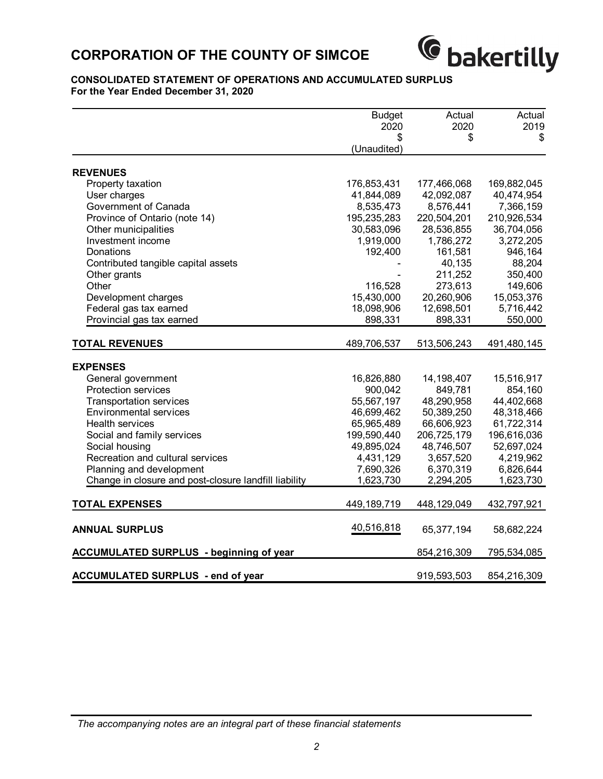

## **For the Year Ended December 31, 2020**

|                                                       | <b>Budget</b>     | Actual      | Actual      |
|-------------------------------------------------------|-------------------|-------------|-------------|
|                                                       | 2020              | 2020        | 2019        |
|                                                       | \$<br>(Unaudited) | \$          | \$          |
|                                                       |                   |             |             |
| <b>REVENUES</b>                                       |                   |             |             |
| Property taxation                                     | 176,853,431       | 177,466,068 | 169,882,045 |
| User charges                                          | 41,844,089        | 42,092,087  | 40,474,954  |
| Government of Canada                                  | 8,535,473         | 8,576,441   | 7,366,159   |
| Province of Ontario (note 14)                         | 195,235,283       | 220,504,201 | 210,926,534 |
| Other municipalities                                  | 30,583,096        | 28,536,855  | 36,704,056  |
| Investment income                                     | 1,919,000         | 1,786,272   | 3,272,205   |
| Donations                                             | 192,400           | 161,581     | 946,164     |
| Contributed tangible capital assets                   |                   | 40,135      | 88,204      |
| Other grants                                          |                   | 211,252     | 350,400     |
| Other                                                 | 116,528           | 273,613     | 149,606     |
| Development charges                                   | 15,430,000        | 20,260,906  | 15,053,376  |
| Federal gas tax earned                                | 18,098,906        | 12,698,501  | 5,716,442   |
| Provincial gas tax earned                             | 898,331           | 898,331     | 550,000     |
| <b>TOTAL REVENUES</b>                                 | 489,706,537       | 513,506,243 | 491,480,145 |
|                                                       |                   |             |             |
| <b>EXPENSES</b>                                       |                   |             |             |
| General government                                    | 16,826,880        | 14,198,407  | 15,516,917  |
| Protection services                                   | 900,042           | 849,781     | 854,160     |
| <b>Transportation services</b>                        | 55,567,197        | 48,290,958  | 44,402,668  |
| <b>Environmental services</b>                         | 46,699,462        | 50,389,250  | 48,318,466  |
| Health services                                       | 65,965,489        | 66,606,923  | 61,722,314  |
| Social and family services                            | 199,590,440       | 206,725,179 | 196,616,036 |
| Social housing                                        | 49,895,024        | 48,746,507  | 52,697,024  |
| Recreation and cultural services                      | 4,431,129         | 3,657,520   | 4,219,962   |
| Planning and development                              | 7,690,326         | 6,370,319   | 6,826,644   |
| Change in closure and post-closure landfill liability | 1,623,730         | 2,294,205   | 1,623,730   |
| <b>TOTAL EXPENSES</b>                                 | 449,189,719       | 448,129,049 | 432,797,921 |
|                                                       |                   |             |             |
| <b>ANNUAL SURPLUS</b>                                 | 40,516,818        | 65,377,194  | 58,682,224  |
| <b>ACCUMULATED SURPLUS - beginning of year</b>        |                   | 854,216,309 | 795,534,085 |
|                                                       |                   |             |             |
| <b>ACCUMULATED SURPLUS - end of year</b>              |                   | 919,593,503 | 854,216,309 |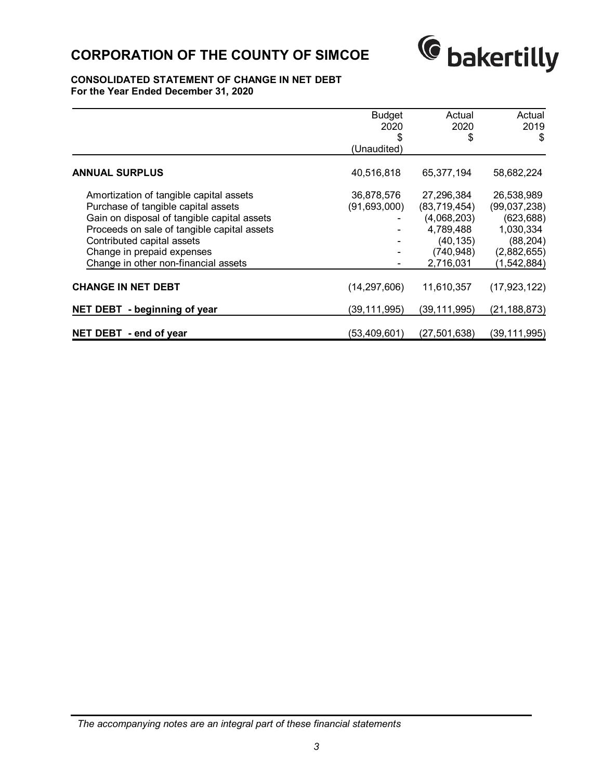

## **CONSOLIDATED STATEMENT OF CHANGE IN NET DEBT For the Year Ended December 31, 2020**

|                                             | <b>Budget</b><br>2020 | Actual<br>2020 | Actual<br>2019 |
|---------------------------------------------|-----------------------|----------------|----------------|
|                                             | S                     | \$             | \$             |
|                                             | (Unaudited)           |                |                |
| <b>ANNUAL SURPLUS</b>                       | 40,516,818            | 65,377,194     | 58,682,224     |
| Amortization of tangible capital assets     | 36,878,576            | 27,296,384     | 26,538,989     |
| Purchase of tangible capital assets         | (91,693,000)          | (83, 719, 454) | (99,037,238)   |
| Gain on disposal of tangible capital assets |                       | (4,068,203)    | (623, 688)     |
| Proceeds on sale of tangible capital assets |                       | 4,789,488      | 1,030,334      |
| Contributed capital assets                  |                       | (40, 135)      | (88, 204)      |
| Change in prepaid expenses                  |                       | (740, 948)     | (2,882,655)    |
| Change in other non-financial assets        |                       | 2,716,031      | (1, 542, 884)  |
| <b>CHANGE IN NET DEBT</b>                   | (14, 297, 606)        | 11,610,357     | (17, 923, 122) |
| NET DEBT - beginning of year                | (39, 111, 995)        | (39, 111, 995) | (21, 188, 873) |
| <b>NET DEBT</b><br>- end of year            | (53, 409, 601)        | (27, 501, 638) | (39, 111, 995) |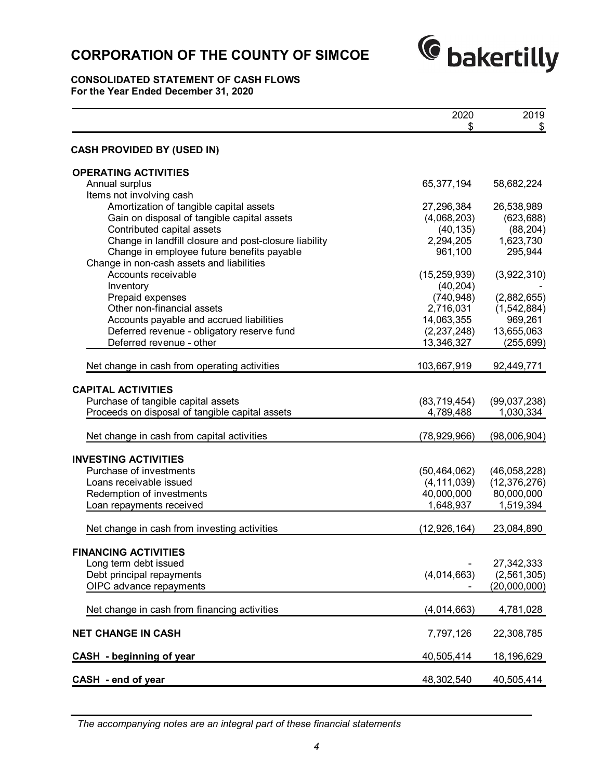

**CONSOLIDATED STATEMENT OF CASH FLOWS For the Year Ended December 31, 2020**

|                                                                        | 2020           | 2019<br>\$     |
|------------------------------------------------------------------------|----------------|----------------|
| <b>CASH PROVIDED BY (USED IN)</b>                                      |                |                |
| <b>OPERATING ACTIVITIES</b>                                            |                |                |
| Annual surplus                                                         | 65,377,194     | 58,682,224     |
| Items not involving cash                                               |                |                |
| Amortization of tangible capital assets                                | 27,296,384     | 26,538,989     |
| Gain on disposal of tangible capital assets                            | (4,068,203)    | (623, 688)     |
| Contributed capital assets                                             | (40, 135)      | (88, 204)      |
| Change in landfill closure and post-closure liability                  | 2,294,205      | 1,623,730      |
| Change in employee future benefits payable                             | 961,100        | 295,944        |
| Change in non-cash assets and liabilities                              |                |                |
| Accounts receivable                                                    | (15, 259, 939) | (3,922,310)    |
|                                                                        |                |                |
| Inventory                                                              | (40, 204)      |                |
| Prepaid expenses<br>Other non-financial assets                         | (740, 948)     | (2,882,655)    |
|                                                                        | 2,716,031      | (1, 542, 884)  |
| Accounts payable and accrued liabilities                               | 14,063,355     | 969,261        |
| Deferred revenue - obligatory reserve fund<br>Deferred revenue - other | (2,237,248)    | 13,655,063     |
|                                                                        | 13,346,327     | (255, 699)     |
| Net change in cash from operating activities                           | 103,667,919    | 92,449,771     |
|                                                                        |                |                |
| <b>CAPITAL ACTIVITIES</b>                                              |                |                |
| Purchase of tangible capital assets                                    | (83, 719, 454) | (99,037,238)   |
| Proceeds on disposal of tangible capital assets                        | 4,789,488      | 1,030,334      |
| Net change in cash from capital activities                             | (78,929,966)   | (98,006,904)   |
|                                                                        |                |                |
| <b>INVESTING ACTIVITIES</b>                                            |                |                |
| Purchase of investments                                                | (50, 464, 062) | (46,058,228)   |
| Loans receivable issued                                                | (4, 111, 039)  | (12, 376, 276) |
| Redemption of investments                                              | 40,000,000     | 80,000,000     |
| Loan repayments received                                               | 1,648,937      | 1,519,394      |
| Net change in cash from investing activities                           | (12, 926, 164) | 23,084,890     |
| <b>FINANCING ACTIVITIES</b>                                            |                |                |
| Long term debt issued                                                  |                | 27,342,333     |
| Debt principal repayments                                              | (4,014,663)    | (2, 561, 305)  |
| OIPC advance repayments                                                |                | (20,000,000)   |
|                                                                        |                |                |
| Net change in cash from financing activities                           | (4,014,663)    | 4,781,028      |
| <b>NET CHANGE IN CASH</b>                                              | 7,797,126      | 22,308,785     |
| <b>CASH</b> - beginning of year                                        | 40,505,414     | 18,196,629     |
| CASH - end of year                                                     | 48,302,540     | 40,505,414     |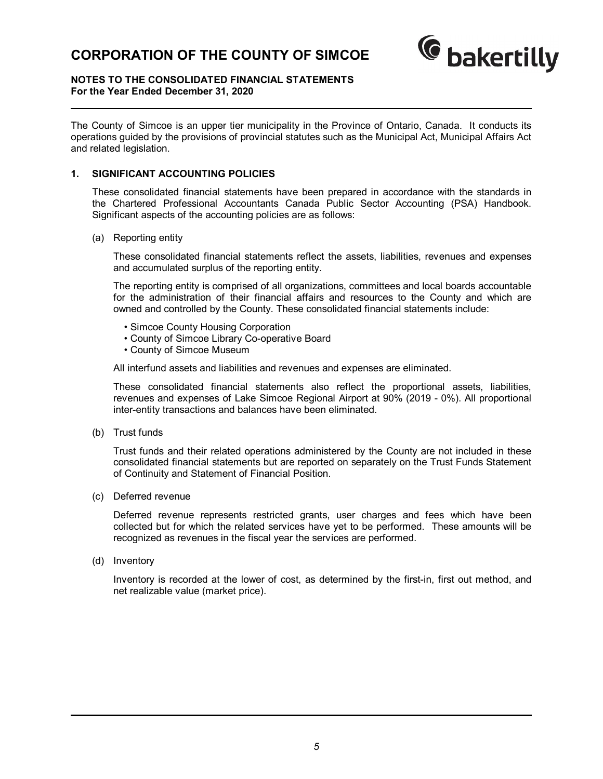

## **NOTES TO THE CONSOLIDATED FINANCIAL STATEMENTS For the Year Ended December 31, 2020**

The County of Simcoe is an upper tier municipality in the Province of Ontario, Canada. It conducts its operations guided by the provisions of provincial statutes such as the Municipal Act, Municipal Affairs Act and related legislation.

## **1. SIGNIFICANT ACCOUNTING POLICIES**

These consolidated financial statements have been prepared in accordance with the standards in the Chartered Professional Accountants Canada Public Sector Accounting (PSA) Handbook. Significant aspects of the accounting policies are as follows:

(a) Reporting entity

These consolidated financial statements reflect the assets, liabilities, revenues and expenses and accumulated surplus of the reporting entity.

The reporting entity is comprised of all organizations, committees and local boards accountable for the administration of their financial affairs and resources to the County and which are owned and controlled by the County. These consolidated financial statements include:

- Simcoe County Housing Corporation
- County of Simcoe Library Co-operative Board
- County of Simcoe Museum

All interfund assets and liabilities and revenues and expenses are eliminated.

These consolidated financial statements also reflect the proportional assets, liabilities, revenues and expenses of Lake Simcoe Regional Airport at 90% (2019 - 0%). All proportional inter-entity transactions and balances have been eliminated.

(b) Trust funds

Trust funds and their related operations administered by the County are not included in these consolidated financial statements but are reported on separately on the Trust Funds Statement of Continuity and Statement of Financial Position.

(c) Deferred revenue

Deferred revenue represents restricted grants, user charges and fees which have been collected but for which the related services have yet to be performed. These amounts will be recognized as revenues in the fiscal year the services are performed.

(d) Inventory

Inventory is recorded at the lower of cost, as determined by the first-in, first out method, and net realizable value (market price).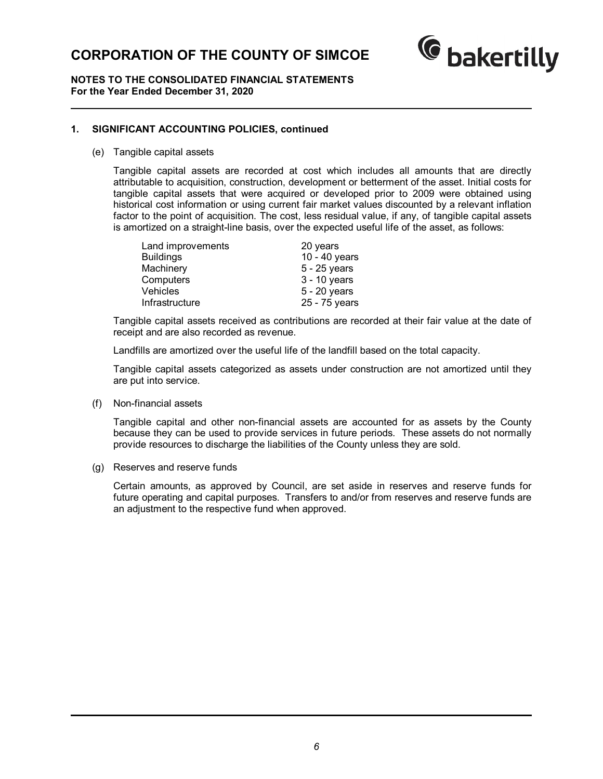

**NOTES TO THE CONSOLIDATED FINANCIAL STATEMENTS For the Year Ended December 31, 2020**

## **1. SIGNIFICANT ACCOUNTING POLICIES, continued**

(e) Tangible capital assets

Tangible capital assets are recorded at cost which includes all amounts that are directly attributable to acquisition, construction, development or betterment of the asset. Initial costs for tangible capital assets that were acquired or developed prior to 2009 were obtained using historical cost information or using current fair market values discounted by a relevant inflation factor to the point of acquisition. The cost, less residual value, if any, of tangible capital assets is amortized on a straight-line basis, over the expected useful life of the asset, as follows:

| Land improvements | 20 years       |
|-------------------|----------------|
| <b>Buildings</b>  | 10 - 40 years  |
| Machinery         | 5 - 25 years   |
| Computers         | 3 - 10 years   |
| <b>Vehicles</b>   | $5 - 20$ years |
| Infrastructure    | 25 - 75 years  |

Tangible capital assets received as contributions are recorded at their fair value at the date of receipt and are also recorded as revenue.

Landfills are amortized over the useful life of the landfill based on the total capacity.

Tangible capital assets categorized as assets under construction are not amortized until they are put into service.

(f) Non-financial assets

Tangible capital and other non-financial assets are accounted for as assets by the County because they can be used to provide services in future periods. These assets do not normally provide resources to discharge the liabilities of the County unless they are sold.

(g) Reserves and reserve funds

Certain amounts, as approved by Council, are set aside in reserves and reserve funds for future operating and capital purposes. Transfers to and/or from reserves and reserve funds are an adjustment to the respective fund when approved.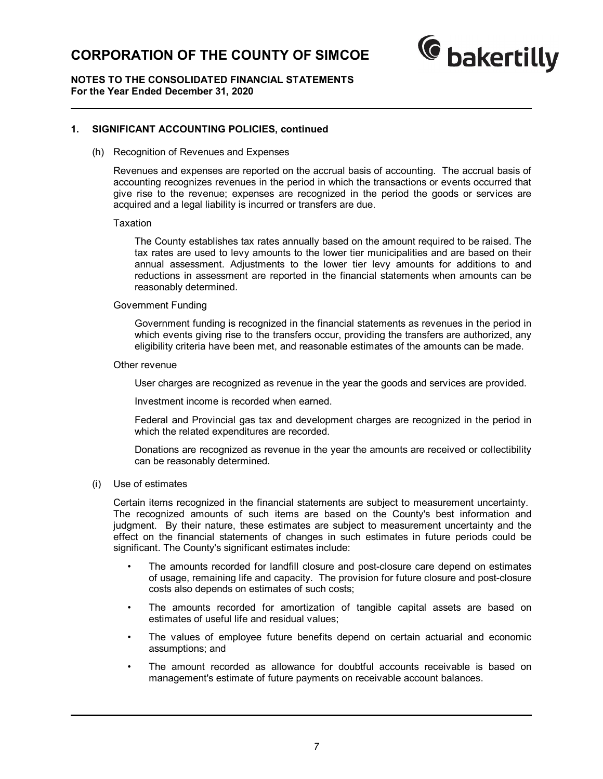

**NOTES TO THE CONSOLIDATED FINANCIAL STATEMENTS For the Year Ended December 31, 2020**

## **1. SIGNIFICANT ACCOUNTING POLICIES, continued**

(h) Recognition of Revenues and Expenses

Revenues and expenses are reported on the accrual basis of accounting. The accrual basis of accounting recognizes revenues in the period in which the transactions or events occurred that give rise to the revenue; expenses are recognized in the period the goods or services are acquired and a legal liability is incurred or transfers are due.

#### **Taxation**

The County establishes tax rates annually based on the amount required to be raised. The tax rates are used to levy amounts to the lower tier municipalities and are based on their annual assessment. Adjustments to the lower tier levy amounts for additions to and reductions in assessment are reported in the financial statements when amounts can be reasonably determined.

#### Government Funding

Government funding is recognized in the financial statements as revenues in the period in which events giving rise to the transfers occur, providing the transfers are authorized, any eligibility criteria have been met, and reasonable estimates of the amounts can be made.

#### Other revenue

User charges are recognized as revenue in the year the goods and services are provided.

Investment income is recorded when earned.

Federal and Provincial gas tax and development charges are recognized in the period in which the related expenditures are recorded.

Donations are recognized as revenue in the year the amounts are received or collectibility can be reasonably determined.

#### (i) Use of estimates

Certain items recognized in the financial statements are subject to measurement uncertainty. The recognized amounts of such items are based on the County's best information and judgment. By their nature, these estimates are subject to measurement uncertainty and the effect on the financial statements of changes in such estimates in future periods could be significant. The County's significant estimates include:

- The amounts recorded for landfill closure and post-closure care depend on estimates of usage, remaining life and capacity. The provision for future closure and post-closure costs also depends on estimates of such costs;
- The amounts recorded for amortization of tangible capital assets are based on estimates of useful life and residual values;
- The values of employee future benefits depend on certain actuarial and economic assumptions; and
- The amount recorded as allowance for doubtful accounts receivable is based on management's estimate of future payments on receivable account balances.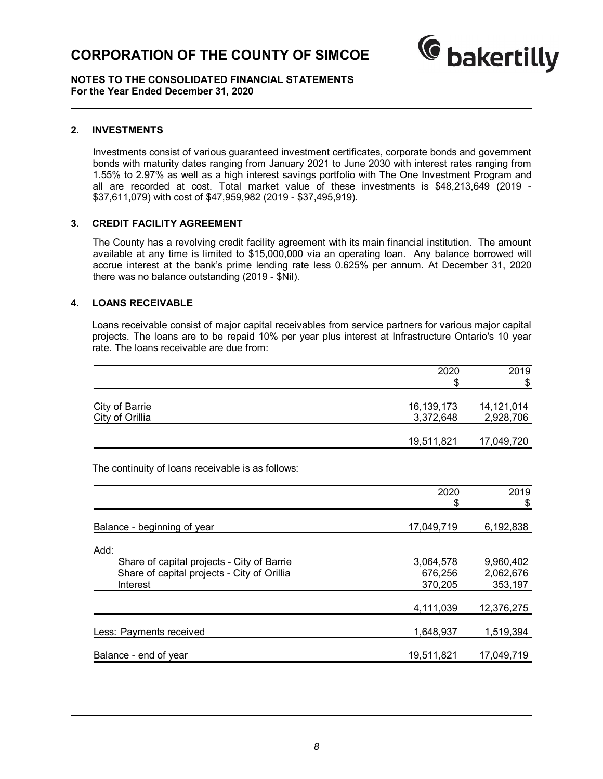

## **2. INVESTMENTS**

Investments consist of various guaranteed investment certificates, corporate bonds and government bonds with maturity dates ranging from January 2021 to June 2030 with interest rates ranging from 1.55% to 2.97% as well as a high interest savings portfolio with The One Investment Program and all are recorded at cost. Total market value of these investments is \$48,213,649 (2019 - \$37,611,079) with cost of \$47,959,982 (2019 - \$37,495,919).

## **3. CREDIT FACILITY AGREEMENT**

The County has a revolving credit facility agreement with its main financial institution. The amount available at any time is limited to \$15,000,000 via an operating loan. Any balance borrowed will accrue interest at the bank's prime lending rate less 0.625% per annum. At December 31, 2020 there was no balance outstanding (2019 - \$Nil).

## **4. LOANS RECEIVABLE**

Loans receivable consist of major capital receivables from service partners for various major capital projects. The loans are to be repaid 10% per year plus interest at Infrastructure Ontario's 10 year rate. The loans receivable are due from:

|                                   | 2020                    | 2019<br>\$              |
|-----------------------------------|-------------------------|-------------------------|
| City of Barrie<br>City of Orillia | 16,139,173<br>3,372,648 | 14,121,014<br>2,928,706 |
|                                   | 19,511,821              | 17,049,720              |

The continuity of loans receivable is as follows:

|                                                                                                               | 2020<br>\$                      | 2019<br>\$                        |
|---------------------------------------------------------------------------------------------------------------|---------------------------------|-----------------------------------|
| Balance - beginning of year                                                                                   | 17,049,719                      | 6,192,838                         |
|                                                                                                               |                                 |                                   |
| Add:<br>Share of capital projects - City of Barrie<br>Share of capital projects - City of Orillia<br>Interest | 3,064,578<br>676,256<br>370,205 | 9,960,402<br>2,062,676<br>353,197 |
|                                                                                                               | 4,111,039                       | 12,376,275                        |
| Less: Payments received                                                                                       | 1,648,937                       | 1,519,394                         |
| Balance - end of year                                                                                         | 19,511,821                      | 17,049,719                        |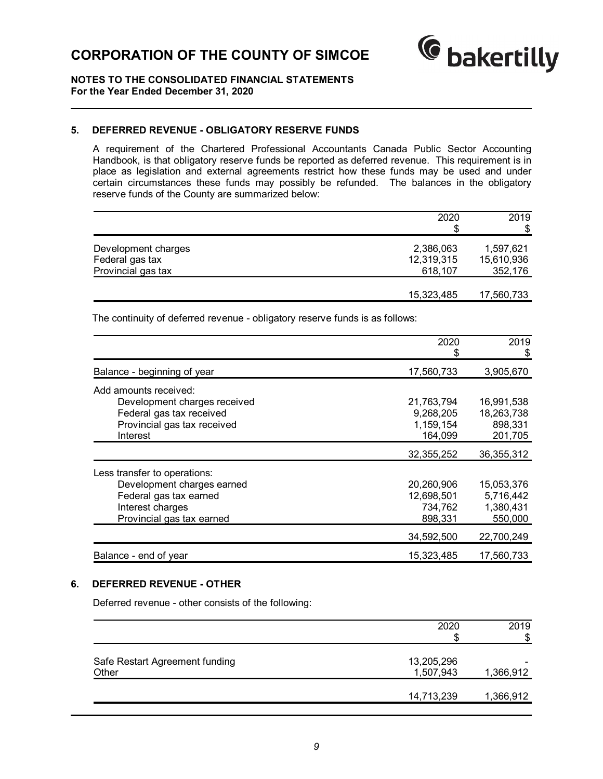

## **5. DEFERRED REVENUE - OBLIGATORY RESERVE FUNDS**

A requirement of the Chartered Professional Accountants Canada Public Sector Accounting Handbook, is that obligatory reserve funds be reported as deferred revenue. This requirement is in place as legislation and external agreements restrict how these funds may be used and under certain circumstances these funds may possibly be refunded. The balances in the obligatory reserve funds of the County are summarized below:

|                     | 2020<br>S  | 2019<br>\$ |
|---------------------|------------|------------|
| Development charges | 2,386,063  | 1,597,621  |
| Federal gas tax     | 12,319,315 | 15,610,936 |
| Provincial gas tax  | 618,107    | 352,176    |
|                     |            |            |
|                     | 15,323,485 | 17,560,733 |

The continuity of deferred revenue - obligatory reserve funds is as follows:

|                              | 2020       | 2019       |
|------------------------------|------------|------------|
|                              | S          | \$         |
| Balance - beginning of year  | 17,560,733 | 3,905,670  |
| Add amounts received:        |            |            |
| Development charges received | 21,763,794 | 16,991,538 |
| Federal gas tax received     | 9,268,205  | 18,263,738 |
| Provincial gas tax received  | 1,159,154  | 898,331    |
| Interest                     | 164,099    | 201,705    |
|                              | 32.355.252 | 36.355.312 |
| Less transfer to operations: |            |            |
| Development charges earned   | 20,260,906 | 15,053,376 |
| Federal gas tax earned       | 12,698,501 | 5,716,442  |
| Interest charges             | 734,762    | 1,380,431  |
| Provincial gas tax earned    | 898,331    | 550,000    |
|                              | 34,592,500 | 22,700,249 |
| Balance - end of year        | 15,323,485 | 17.560.733 |

## **6. DEFERRED REVENUE - OTHER**

Deferred revenue - other consists of the following:

|                                         | 2020                    | 2019<br>\$ |
|-----------------------------------------|-------------------------|------------|
| Safe Restart Agreement funding<br>Other | 13,205,296<br>1,507,943 | 1,366,912  |
|                                         | 14,713,239              | 1,366,912  |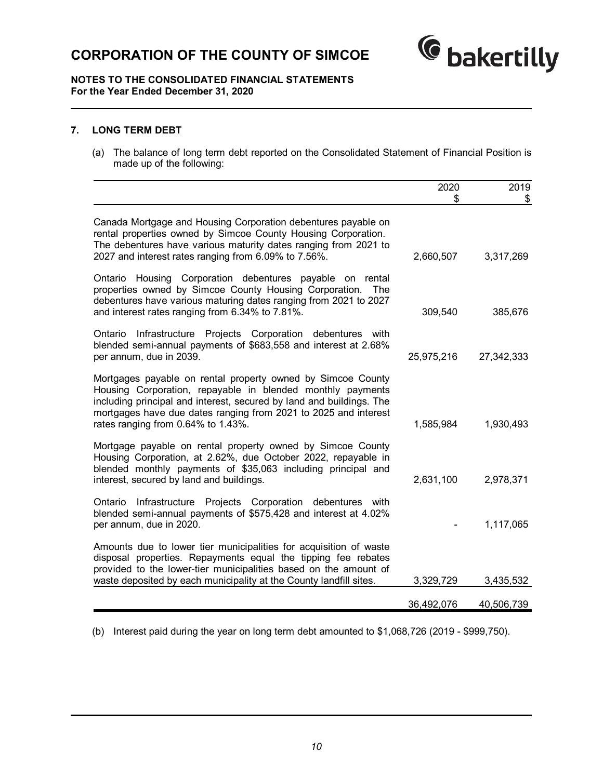

## **7. LONG TERM DEBT**

(a) The balance of long term debt reported on the Consolidated Statement of Financial Position is made up of the following:

|                                                                                                                                                                                                                                                                                                            | 2020<br>\$ | 2019<br>\$ |
|------------------------------------------------------------------------------------------------------------------------------------------------------------------------------------------------------------------------------------------------------------------------------------------------------------|------------|------------|
| Canada Mortgage and Housing Corporation debentures payable on<br>rental properties owned by Simcoe County Housing Corporation.<br>The debentures have various maturity dates ranging from 2021 to<br>2027 and interest rates ranging from 6.09% to 7.56%.                                                  | 2,660,507  | 3,317,269  |
| Ontario Housing Corporation debentures payable on rental<br>properties owned by Simcoe County Housing Corporation.<br>The<br>debentures have various maturing dates ranging from 2021 to 2027<br>and interest rates ranging from 6.34% to 7.81%.                                                           | 309,540    | 385,676    |
| Ontario Infrastructure Projects Corporation debentures<br>with<br>blended semi-annual payments of \$683,558 and interest at 2.68%<br>per annum, due in 2039.                                                                                                                                               | 25,975,216 | 27,342,333 |
| Mortgages payable on rental property owned by Simcoe County<br>Housing Corporation, repayable in blended monthly payments<br>including principal and interest, secured by land and buildings. The<br>mortgages have due dates ranging from 2021 to 2025 and interest<br>rates ranging from 0.64% to 1.43%. | 1,585,984  | 1,930,493  |
| Mortgage payable on rental property owned by Simcoe County<br>Housing Corporation, at 2.62%, due October 2022, repayable in<br>blended monthly payments of \$35,063 including principal and<br>interest, secured by land and buildings.                                                                    | 2,631,100  | 2,978,371  |
| Ontario Infrastructure Projects Corporation debentures with<br>blended semi-annual payments of \$575,428 and interest at 4.02%<br>per annum, due in 2020.                                                                                                                                                  |            | 1,117,065  |
| Amounts due to lower tier municipalities for acquisition of waste<br>disposal properties. Repayments equal the tipping fee rebates<br>provided to the lower-tier municipalities based on the amount of<br>waste deposited by each municipality at the County landfill sites.                               | 3,329,729  | 3,435,532  |
|                                                                                                                                                                                                                                                                                                            | 36,492,076 | 40,506,739 |

(b) Interest paid during the year on long term debt amounted to \$1,068,726 (2019 - \$999,750).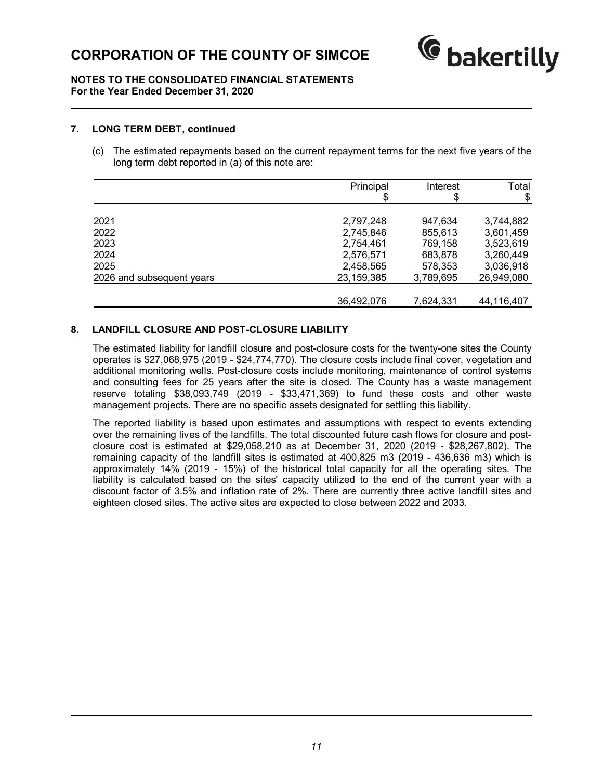

## **7. LONG TERM DEBT, continued**

(c) The estimated repayments based on the current repayment terms for the next five years of the long term debt reported in (a) of this note are:

|                           | Principal  | Interest  | Total      |
|---------------------------|------------|-----------|------------|
|                           |            | \$        | \$         |
|                           |            |           |            |
| 2021                      | 2,797,248  | 947.634   | 3,744,882  |
| 2022                      | 2,745,846  | 855,613   | 3,601,459  |
| 2023                      | 2,754,461  | 769,158   | 3,523,619  |
| 2024                      | 2,576,571  | 683,878   | 3,260,449  |
| 2025                      | 2,458,565  | 578,353   | 3,036,918  |
| 2026 and subsequent years | 23,159,385 | 3,789,695 | 26,949,080 |
|                           |            |           |            |
|                           | 36.492.076 | 7,624,331 | 44,116,407 |

## **8. LANDFILL CLOSURE AND POST-CLOSURE LIABILITY**

The estimated liability for landfill closure and post-closure costs for the twenty-one sites the County operates is \$27,068,975 (2019 - \$24,774,770). The closure costs include final cover, vegetation and additional monitoring wells. Post-closure costs include monitoring, maintenance of control systems and consulting fees for 25 years after the site is closed. The County has a waste management reserve totaling \$38,093,749 (2019 - \$33,471,369) to fund these costs and other waste management projects. There are no specific assets designated for settling this liability.

The reported liability is based upon estimates and assumptions with respect to events extending over the remaining lives of the landfills. The total discounted future cash flows for closure and postclosure cost is estimated at \$29,058,210 as at December 31, 2020 (2019 - \$28,267,802). The remaining capacity of the landfill sites is estimated at 400,825 m3 (2019 - 436,636 m3) which is approximately 14% (2019 - 15%) of the historical total capacity for all the operating sites. The liability is calculated based on the sites' capacity utilized to the end of the current year with a discount factor of 3.5% and inflation rate of 2%. There are currently three active landfill sites and eighteen closed sites. The active sites are expected to close between 2022 and 2033.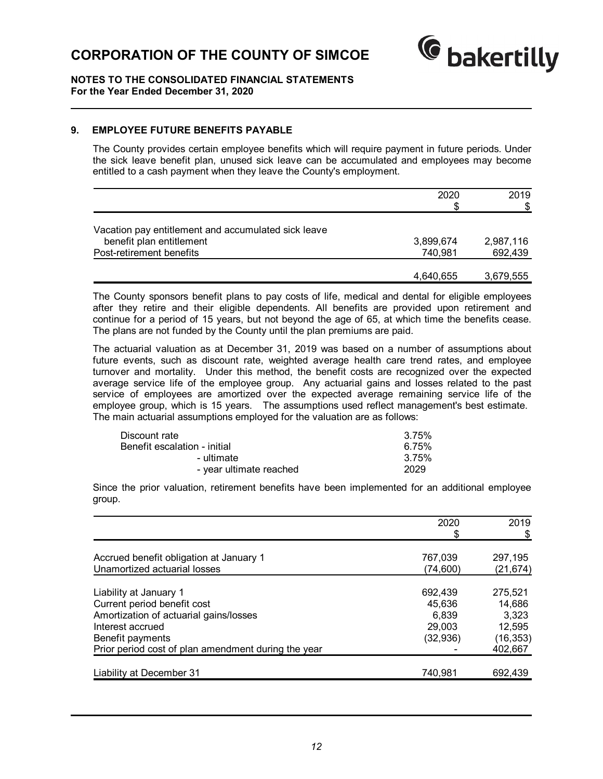

## **9. EMPLOYEE FUTURE BENEFITS PAYABLE**

The County provides certain employee benefits which will require payment in future periods. Under the sick leave benefit plan, unused sick leave can be accumulated and employees may become entitled to a cash payment when they leave the County's employment.

|                                                     | 2020      | 2019<br>\$ |
|-----------------------------------------------------|-----------|------------|
| Vacation pay entitlement and accumulated sick leave |           |            |
| benefit plan entitlement                            | 3,899,674 | 2,987,116  |
| Post-retirement benefits                            | 740,981   | 692,439    |
|                                                     | 4,640,655 | 3,679,555  |

The County sponsors benefit plans to pay costs of life, medical and dental for eligible employees after they retire and their eligible dependents. All benefits are provided upon retirement and continue for a period of 15 years, but not beyond the age of 65, at which time the benefits cease. The plans are not funded by the County until the plan premiums are paid.

The actuarial valuation as at December 31, 2019 was based on a number of assumptions about future events, such as discount rate, weighted average health care trend rates, and employee turnover and mortality. Under this method, the benefit costs are recognized over the expected average service life of the employee group. Any actuarial gains and losses related to the past service of employees are amortized over the expected average remaining service life of the employee group, which is 15 years. The assumptions used reflect management's best estimate. The main actuarial assumptions employed for the valuation are as follows:

| Discount rate                | 3.75% |
|------------------------------|-------|
| Benefit escalation - initial | 6.75% |
| - ultimate                   | 3.75% |
| - year ultimate reached      | 2029  |

Since the prior valuation, retirement benefits have been implemented for an additional employee group.

|                                                     | 2020      | 2019      |
|-----------------------------------------------------|-----------|-----------|
|                                                     | S         |           |
|                                                     |           |           |
| Accrued benefit obligation at January 1             | 767,039   | 297,195   |
| Unamortized actuarial losses                        | (74,600)  | (21, 674) |
|                                                     |           |           |
| Liability at January 1                              | 692,439   | 275,521   |
| Current period benefit cost                         | 45.636    | 14,686    |
| Amortization of actuarial gains/losses              | 6.839     | 3.323     |
| Interest accrued                                    | 29,003    | 12.595    |
| Benefit payments                                    | (32, 936) | (16, 353) |
| Prior period cost of plan amendment during the year |           | 402,667   |
| Liability at December 31                            | 740.981   | 692,439   |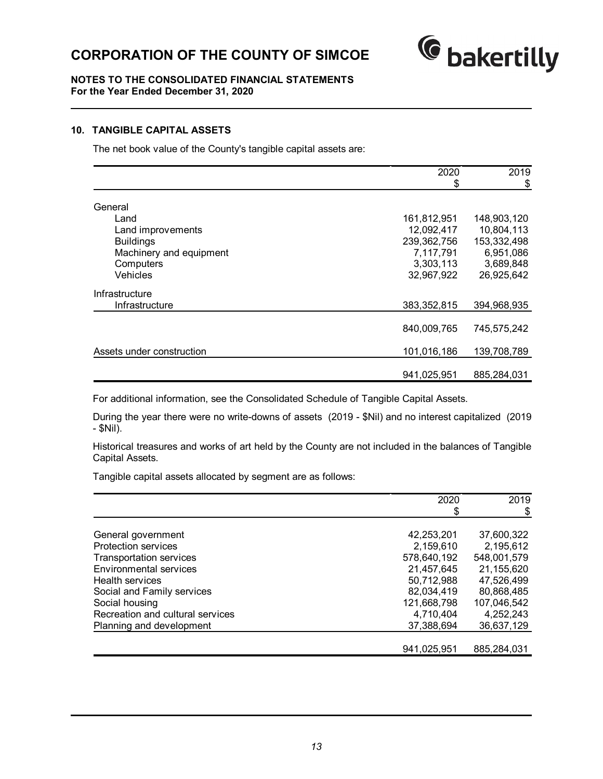

## **10. TANGIBLE CAPITAL ASSETS**

The net book value of the County's tangible capital assets are:

|                           | 2020          | 2019        |
|---------------------------|---------------|-------------|
|                           | \$            | \$          |
| General                   |               |             |
|                           |               |             |
| Land                      | 161,812,951   | 148,903,120 |
| Land improvements         | 12,092,417    | 10,804,113  |
| <b>Buildings</b>          | 239,362,756   | 153,332,498 |
| Machinery and equipment   | 7,117,791     | 6,951,086   |
| Computers                 | 3,303,113     | 3,689,848   |
| Vehicles                  | 32,967,922    | 26,925,642  |
| Infrastructure            |               |             |
| Infrastructure            | 383, 352, 815 | 394,968,935 |
|                           |               |             |
|                           | 840,009,765   | 745,575,242 |
| Assets under construction | 101,016,186   | 139,708,789 |
|                           |               |             |
|                           | 941,025,951   | 885,284,031 |

For additional information, see the Consolidated Schedule of Tangible Capital Assets.

During the year there were no write-downs of assets (2019 - \$Nil) and no interest capitalized (2019 - \$Nil).

Historical treasures and works of art held by the County are not included in the balances of Tangible Capital Assets.

Tangible capital assets allocated by segment are as follows:

|                                  | 2020        | 2019        |
|----------------------------------|-------------|-------------|
|                                  | \$          | \$          |
|                                  |             |             |
| General government               | 42,253,201  | 37,600,322  |
| <b>Protection services</b>       | 2,159,610   | 2,195,612   |
| <b>Transportation services</b>   | 578,640,192 | 548,001,579 |
| <b>Environmental services</b>    | 21,457,645  | 21,155,620  |
| <b>Health services</b>           | 50,712,988  | 47,526,499  |
| Social and Family services       | 82,034,419  | 80,868,485  |
| Social housing                   | 121,668,798 | 107,046,542 |
| Recreation and cultural services | 4,710,404   | 4,252,243   |
| Planning and development         | 37,388,694  | 36,637,129  |
|                                  |             |             |
|                                  | 941,025,951 | 885,284,031 |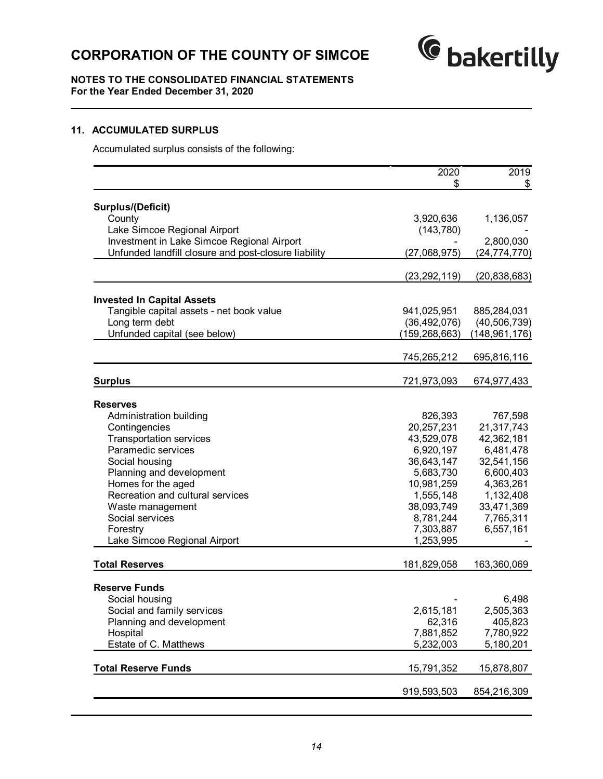

## **11. ACCUMULATED SURPLUS**

Accumulated surplus consists of the following:

|                                                      | 2020           | 2019            |
|------------------------------------------------------|----------------|-----------------|
|                                                      |                | \$              |
|                                                      |                |                 |
| <b>Surplus/(Deficit)</b><br>County                   | 3,920,636      | 1,136,057       |
| Lake Simcoe Regional Airport                         | (143, 780)     |                 |
| Investment in Lake Simcoe Regional Airport           |                | 2,800,030       |
| Unfunded landfill closure and post-closure liability | (27,068,975)   | (24, 774, 770)  |
|                                                      | (23, 292, 119) | (20, 838, 683)  |
|                                                      |                |                 |
| <b>Invested In Capital Assets</b>                    |                |                 |
| Tangible capital assets - net book value             | 941,025,951    | 885,284,031     |
| Long term debt                                       | (36, 492, 076) | (40, 506, 739)  |
| Unfunded capital (see below)                         | (159,268,663)  | (148, 961, 176) |
|                                                      | 745,265,212    | 695,816,116     |
| <b>Surplus</b>                                       | 721,973,093    | 674,977,433     |
|                                                      |                |                 |
| <b>Reserves</b>                                      |                |                 |
| Administration building                              | 826,393        | 767,598         |
| Contingencies                                        | 20,257,231     | 21,317,743      |
| <b>Transportation services</b>                       | 43,529,078     | 42,362,181      |
| Paramedic services                                   | 6,920,197      | 6,481,478       |
| Social housing                                       | 36,643,147     | 32,541,156      |
| Planning and development                             | 5,683,730      | 6,600,403       |
| Homes for the aged                                   | 10,981,259     | 4,363,261       |
| Recreation and cultural services                     | 1,555,148      | 1,132,408       |
| Waste management                                     | 38,093,749     | 33,471,369      |
| Social services                                      | 8,781,244      | 7,765,311       |
| Forestry                                             | 7,303,887      | 6,557,161       |
| Lake Simcoe Regional Airport                         | 1,253,995      |                 |
| <b>Total Reserves</b>                                | 181,829,058    | 163,360,069     |
|                                                      |                |                 |
| <b>Reserve Funds</b>                                 |                |                 |
| Social housing                                       |                | 6,498           |
| Social and family services                           | 2,615,181      | 2,505,363       |
| Planning and development                             | 62,316         | 405,823         |
| Hospital                                             | 7,881,852      | 7,780,922       |
| Estate of C. Matthews                                | 5,232,003      | 5,180,201       |
| <b>Total Reserve Funds</b>                           | 15,791,352     | 15,878,807      |
|                                                      | 919,593,503    | 854,216,309     |
|                                                      |                |                 |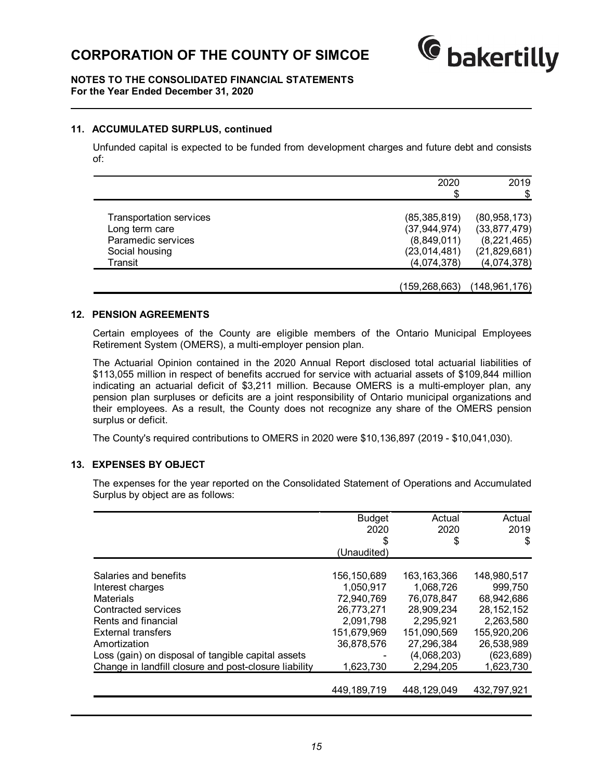

## **11. ACCUMULATED SURPLUS, continued**

Unfunded capital is expected to be funded from development charges and future debt and consists of:

|                         | 2020           | 2019            |
|-------------------------|----------------|-----------------|
|                         |                |                 |
| Transportation services | (85, 385, 819) | (80, 958, 173)  |
| Long term care          | (37, 944, 974) | (33, 877, 479)  |
| Paramedic services      | (8,849,011)    | (8, 221, 465)   |
| Social housing          | (23,014,481)   | (21,829,681)    |
| Transit                 | (4,074,378)    | (4,074,378)     |
|                         |                |                 |
|                         | (159,268,663)  | (148, 961, 176) |

## **12. PENSION AGREEMENTS**

Certain employees of the County are eligible members of the Ontario Municipal Employees Retirement System (OMERS), a multi-employer pension plan.

The Actuarial Opinion contained in the 2020 Annual Report disclosed total actuarial liabilities of \$113,055 million in respect of benefits accrued for service with actuarial assets of \$109,844 million indicating an actuarial deficit of \$3,211 million. Because OMERS is a multi-employer plan, any pension plan surpluses or deficits are a joint responsibility of Ontario municipal organizations and their employees. As a result, the County does not recognize any share of the OMERS pension surplus or deficit.

The County's required contributions to OMERS in 2020 were \$10,136,897 (2019 - \$10,041,030).

## **13. EXPENSES BY OBJECT**

The expenses for the year reported on the Consolidated Statement of Operations and Accumulated Surplus by object are as follows:

|                                                       | <b>Budget</b> | Actual      | Actual       |  |
|-------------------------------------------------------|---------------|-------------|--------------|--|
|                                                       | 2020<br>2020  |             | 2019         |  |
|                                                       | S             | \$          | \$           |  |
|                                                       | (Unaudited)   |             |              |  |
| Salaries and benefits                                 | 156,150,689   | 163.163.366 | 148,980,517  |  |
| Interest charges                                      | 1,050,917     | 1,068,726   | 999.750      |  |
| <b>Materials</b>                                      | 72,940,769    | 76.078.847  | 68.942.686   |  |
| Contracted services                                   | 26,773,271    | 28,909,234  | 28, 152, 152 |  |
| Rents and financial                                   | 2,091,798     | 2,295,921   | 2,263,580    |  |
| External transfers                                    | 151,679,969   | 151,090,569 | 155,920,206  |  |
| Amortization                                          | 36.878.576    | 27,296,384  | 26,538,989   |  |
| Loss (gain) on disposal of tangible capital assets    |               | (4,068,203) | (623,689)    |  |
| Change in landfill closure and post-closure liability | 1,623,730     | 2,294,205   | 1,623,730    |  |
|                                                       |               |             |              |  |
|                                                       | 449,189,719   | 448,129,049 | 432,797,921  |  |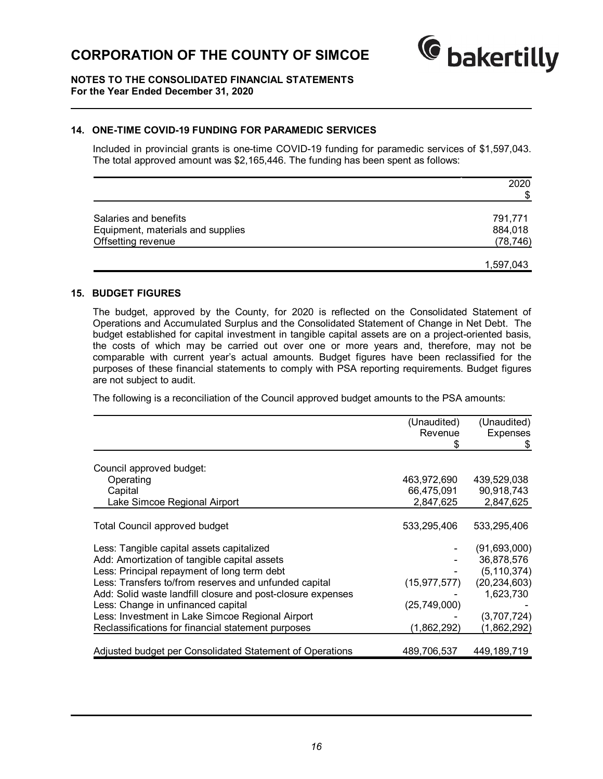

## **14. ONE-TIME COVID-19 FUNDING FOR PARAMEDIC SERVICES**

Included in provincial grants is one-time COVID-19 funding for paramedic services of \$1,597,043. The total approved amount was \$2,165,446. The funding has been spent as follows:

|                                   | 2020      |
|-----------------------------------|-----------|
|                                   | \$        |
| Salaries and benefits             | 791,771   |
| Equipment, materials and supplies | 884,018   |
| Offsetting revenue                | (78, 746) |
|                                   | 1,597,043 |

## **15. BUDGET FIGURES**

The budget, approved by the County, for 2020 is reflected on the Consolidated Statement of Operations and Accumulated Surplus and the Consolidated Statement of Change in Net Debt. The budget established for capital investment in tangible capital assets are on a project-oriented basis, the costs of which may be carried out over one or more years and, therefore, may not be comparable with current year's actual amounts. Budget figures have been reclassified for the purposes of these financial statements to comply with PSA reporting requirements. Budget figures are not subject to audit.

The following is a reconciliation of the Council approved budget amounts to the PSA amounts:

|                                                             | (Unaudited)    | (Unaudited)     |
|-------------------------------------------------------------|----------------|-----------------|
|                                                             | Revenue        | <b>Expenses</b> |
|                                                             |                |                 |
|                                                             |                |                 |
| Council approved budget:                                    |                |                 |
| Operating                                                   | 463,972,690    | 439,529,038     |
| Capital                                                     | 66,475,091     | 90,918,743      |
| Lake Simcoe Regional Airport                                | 2,847,625      | 2,847,625       |
|                                                             |                |                 |
| Total Council approved budget                               | 533,295,406    | 533,295,406     |
| Less: Tangible capital assets capitalized                   |                | (91, 693, 000)  |
| Add: Amortization of tangible capital assets                |                | 36,878,576      |
| Less: Principal repayment of long term debt                 |                | (5, 110, 374)   |
| Less: Transfers to/from reserves and unfunded capital       | (15, 977, 577) | (20, 234, 603)  |
| Add: Solid waste landfill closure and post-closure expenses |                | 1,623,730       |
| Less: Change in unfinanced capital                          | (25, 749, 000) |                 |
| Less: Investment in Lake Simcoe Regional Airport            |                | (3,707,724)     |
| Reclassifications for financial statement purposes          | (1,862,292)    | (1,862,292)     |
|                                                             |                |                 |
| Adjusted budget per Consolidated Statement of Operations    | 489.706.537    | 449,189,719     |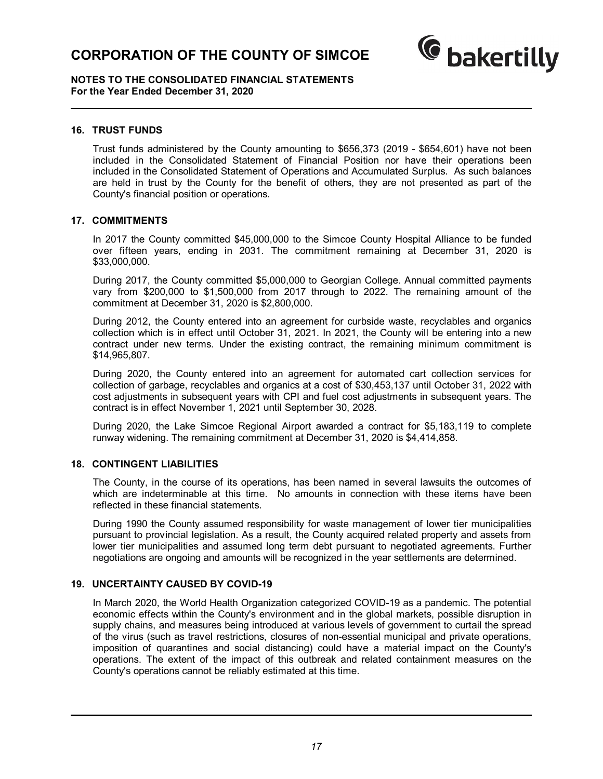

**NOTES TO THE CONSOLIDATED FINANCIAL STATEMENTS For the Year Ended December 31, 2020**

## **16. TRUST FUNDS**

Trust funds administered by the County amounting to \$656,373 (2019 - \$654,601) have not been included in the Consolidated Statement of Financial Position nor have their operations been included in the Consolidated Statement of Operations and Accumulated Surplus. As such balances are held in trust by the County for the benefit of others, they are not presented as part of the County's financial position or operations.

## **17. COMMITMENTS**

In 2017 the County committed \$45,000,000 to the Simcoe County Hospital Alliance to be funded over fifteen years, ending in 2031. The commitment remaining at December 31, 2020 is \$33,000,000.

During 2017, the County committed \$5,000,000 to Georgian College. Annual committed payments vary from \$200,000 to \$1,500,000 from 2017 through to 2022. The remaining amount of the commitment at December 31, 2020 is \$2,800,000.

During 2012, the County entered into an agreement for curbside waste, recyclables and organics collection which is in effect until October 31, 2021. In 2021, the County will be entering into a new contract under new terms. Under the existing contract, the remaining minimum commitment is \$14,965,807.

During 2020, the County entered into an agreement for automated cart collection services for collection of garbage, recyclables and organics at a cost of \$30,453,137 until October 31, 2022 with cost adjustments in subsequent years with CPI and fuel cost adjustments in subsequent years. The contract is in effect November 1, 2021 until September 30, 2028.

During 2020, the Lake Simcoe Regional Airport awarded a contract for \$5,183,119 to complete runway widening. The remaining commitment at December 31, 2020 is \$4,414,858.

## **18. CONTINGENT LIABILITIES**

The County, in the course of its operations, has been named in several lawsuits the outcomes of which are indeterminable at this time. No amounts in connection with these items have been reflected in these financial statements.

During 1990 the County assumed responsibility for waste management of lower tier municipalities pursuant to provincial legislation. As a result, the County acquired related property and assets from lower tier municipalities and assumed long term debt pursuant to negotiated agreements. Further negotiations are ongoing and amounts will be recognized in the year settlements are determined.

## **19. UNCERTAINTY CAUSED BY COVID-19**

In March 2020, the World Health Organization categorized COVID-19 as a pandemic. The potential economic effects within the County's environment and in the global markets, possible disruption in supply chains, and measures being introduced at various levels of government to curtail the spread of the virus (such as travel restrictions, closures of non-essential municipal and private operations, imposition of quarantines and social distancing) could have a material impact on the County's operations. The extent of the impact of this outbreak and related containment measures on the County's operations cannot be reliably estimated at this time.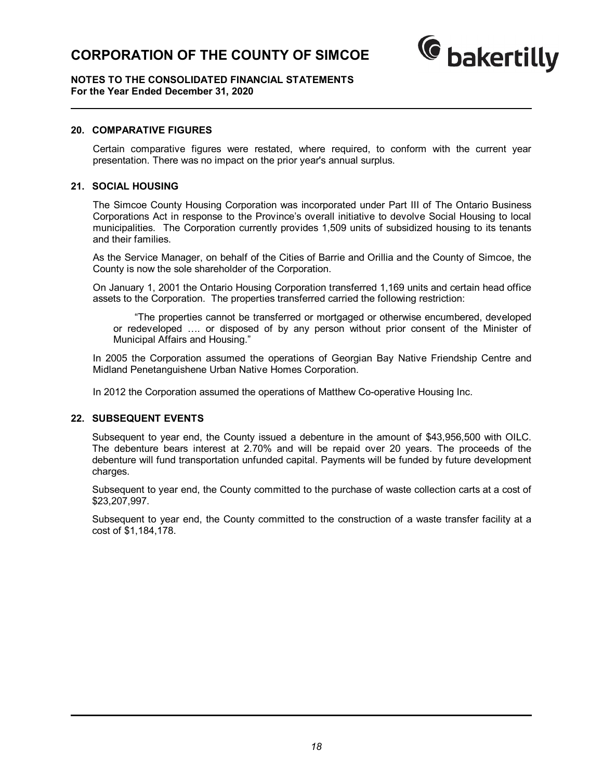

## **NOTES TO THE CONSOLIDATED FINANCIAL STATEMENTS For the Year Ended December 31, 2020**

## **20. COMPARATIVE FIGURES**

Certain comparative figures were restated, where required, to conform with the current year presentation. There was no impact on the prior year's annual surplus.

## **21. SOCIAL HOUSING**

The Simcoe County Housing Corporation was incorporated under Part III of The Ontario Business Corporations Act in response to the Province's overall initiative to devolve Social Housing to local municipalities. The Corporation currently provides 1,509 units of subsidized housing to its tenants and their families.

As the Service Manager, on behalf of the Cities of Barrie and Orillia and the County of Simcoe, the County is now the sole shareholder of the Corporation.

On January 1, 2001 the Ontario Housing Corporation transferred 1,169 units and certain head office assets to the Corporation. The properties transferred carried the following restriction:

"The properties cannot be transferred or mortgaged or otherwise encumbered, developed or redeveloped …. or disposed of by any person without prior consent of the Minister of Municipal Affairs and Housing."

In 2005 the Corporation assumed the operations of Georgian Bay Native Friendship Centre and Midland Penetanguishene Urban Native Homes Corporation.

In 2012 the Corporation assumed the operations of Matthew Co-operative Housing Inc.

## **22. SUBSEQUENT EVENTS**

Subsequent to year end, the County issued a debenture in the amount of \$43,956,500 with OILC. The debenture bears interest at 2.70% and will be repaid over 20 years. The proceeds of the debenture will fund transportation unfunded capital. Payments will be funded by future development charges.

Subsequent to year end, the County committed to the purchase of waste collection carts at a cost of \$23,207,997.

Subsequent to year end, the County committed to the construction of a waste transfer facility at a cost of \$1,184,178.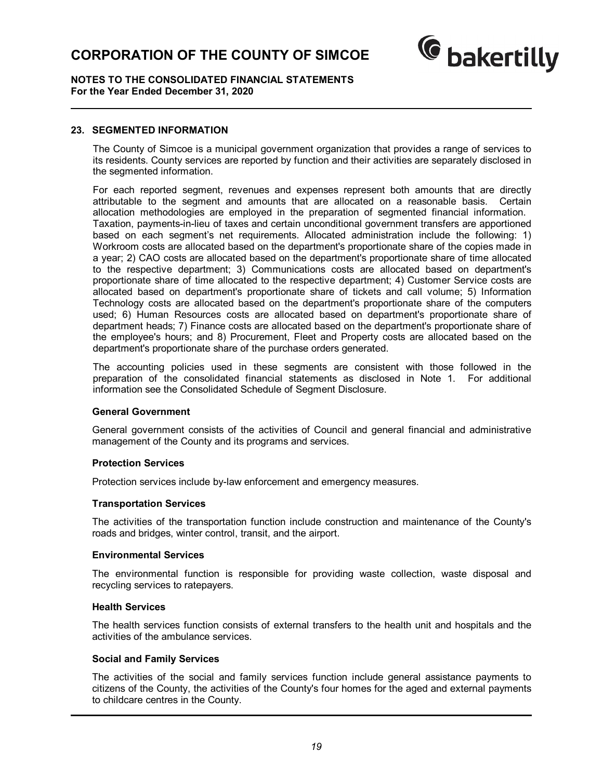

**NOTES TO THE CONSOLIDATED FINANCIAL STATEMENTS For the Year Ended December 31, 2020**

## **23. SEGMENTED INFORMATION**

The County of Simcoe is a municipal government organization that provides a range of services to its residents. County services are reported by function and their activities are separately disclosed in the segmented information.

For each reported segment, revenues and expenses represent both amounts that are directly attributable to the segment and amounts that are allocated on a reasonable basis. Certain allocation methodologies are employed in the preparation of segmented financial information. Taxation, payments-in-lieu of taxes and certain unconditional government transfers are apportioned based on each segment's net requirements. Allocated administration include the following: 1) Workroom costs are allocated based on the department's proportionate share of the copies made in a year; 2) CAO costs are allocated based on the department's proportionate share of time allocated to the respective department; 3) Communications costs are allocated based on department's proportionate share of time allocated to the respective department; 4) Customer Service costs are allocated based on department's proportionate share of tickets and call volume; 5) Information Technology costs are allocated based on the department's proportionate share of the computers used; 6) Human Resources costs are allocated based on department's proportionate share of department heads; 7) Finance costs are allocated based on the department's proportionate share of the employee's hours; and 8) Procurement, Fleet and Property costs are allocated based on the department's proportionate share of the purchase orders generated.

The accounting policies used in these segments are consistent with those followed in the preparation of the consolidated financial statements as disclosed in Note 1. For additional information see the Consolidated Schedule of Segment Disclosure.

## **General Government**

General government consists of the activities of Council and general financial and administrative management of the County and its programs and services.

## **Protection Services**

Protection services include by-law enforcement and emergency measures.

## **Transportation Services**

The activities of the transportation function include construction and maintenance of the County's roads and bridges, winter control, transit, and the airport.

## **Environmental Services**

The environmental function is responsible for providing waste collection, waste disposal and recycling services to ratepayers.

## **Health Services**

The health services function consists of external transfers to the health unit and hospitals and the activities of the ambulance services.

## **Social and Family Services**

The activities of the social and family services function include general assistance payments to citizens of the County, the activities of the County's four homes for the aged and external payments to childcare centres in the County.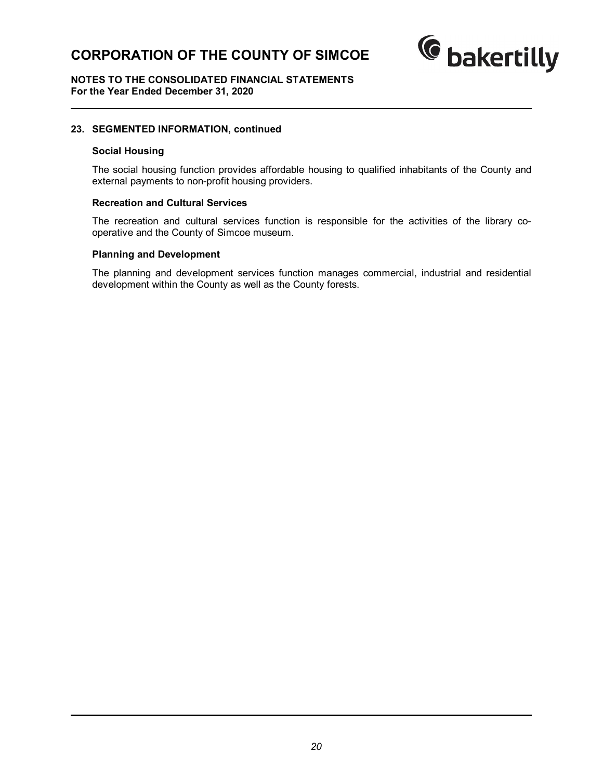

**NOTES TO THE CONSOLIDATED FINANCIAL STATEMENTS For the Year Ended December 31, 2020**

## **23. SEGMENTED INFORMATION, continued**

## **Social Housing**

The social housing function provides affordable housing to qualified inhabitants of the County and external payments to non-profit housing providers.

## **Recreation and Cultural Services**

The recreation and cultural services function is responsible for the activities of the library cooperative and the County of Simcoe museum.

## **Planning and Development**

The planning and development services function manages commercial, industrial and residential development within the County as well as the County forests.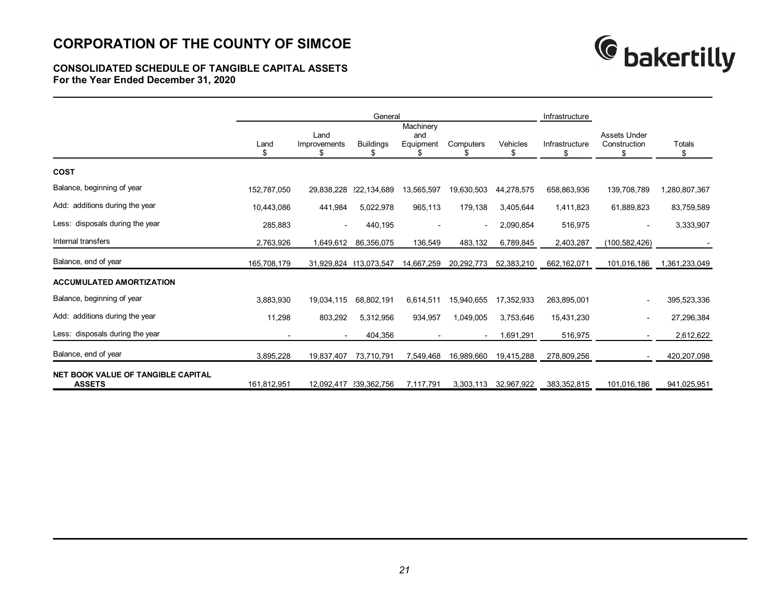## **CONSOLIDATED SCHEDULE OF TANGIBLE CAPITAL ASSETS For the Year Ended December 31, 2020**



|                                                            | General     |                            |                        |                                    | Infrastructure |                |                      |                                           |               |
|------------------------------------------------------------|-------------|----------------------------|------------------------|------------------------------------|----------------|----------------|----------------------|-------------------------------------------|---------------|
|                                                            | Land<br>\$  | Land<br>Improvements<br>\$ | <b>Buildings</b><br>S  | Machinery<br>and<br>Equipment<br>S | Computers      | Vehicles<br>\$ | Infrastructure<br>\$ | <b>Assets Under</b><br>Construction<br>\$ | Totals<br>\$  |
| <b>COST</b>                                                |             |                            |                        |                                    |                |                |                      |                                           |               |
| Balance, beginning of year                                 | 152,787,050 | 29,838,228                 | 22,134,689             | 13,565,597                         | 19,630,503     | 44,278,575     | 658,863,936          | 139,708,789                               | 1,280,807,367 |
| Add: additions during the year                             | 10,443,086  | 441,984                    | 5,022,978              | 965,113                            | 179,138        | 3,405,644      | 1,411,823            | 61,889,823                                | 83,759,589    |
| Less: disposals during the year                            | 285,883     | $\blacksquare$             | 440,195                |                                    | $\sim$         | 2,090,854      | 516,975              |                                           | 3,333,907     |
| Internal transfers                                         | 2,763,926   | 1,649,612                  | 86,356,075             | 136,549                            | 483,132        | 6,789,845      | 2,403,287            | (100, 582, 426)                           |               |
| Balance, end of year                                       | 165,708,179 |                            | 31,929,824 313,073,547 | 14,667,259                         | 20,292,773     | 52,383,210     | 662,162,071          | 101,016,186                               | 1,361,233,049 |
| <b>ACCUMULATED AMORTIZATION</b>                            |             |                            |                        |                                    |                |                |                      |                                           |               |
| Balance, beginning of year                                 | 3,883,930   | 19,034,115                 | 68,802,191             | 6,614,511                          | 15,940,655     | 17,352,933     | 263,895,001          |                                           | 395,523,336   |
| Add: additions during the year                             | 11,298      | 803,292                    | 5,312,956              | 934,957                            | 1,049,005      | 3,753,646      | 15,431,230           |                                           | 27,296,384    |
| Less: disposals during the year                            |             | $\overline{\phantom{a}}$   | 404,356                |                                    | $\sim$         | 1,691,291      | 516,975              |                                           | 2,612,622     |
| Balance, end of year                                       | 3,895,228   | 19,837,407                 | 73,710,791             | 7,549,468                          | 16,989,660     | 19,415,288     | 278,809,256          |                                           | 420,207,098   |
| <b>NET BOOK VALUE OF TANGIBLE CAPITAL</b><br><b>ASSETS</b> | 161,812,951 |                            | 12,092,417 '39,362,756 | 7,117,791                          | 3,303,113      | 32,967,922     | 383,352,815          | 101,016,186                               | 941,025,951   |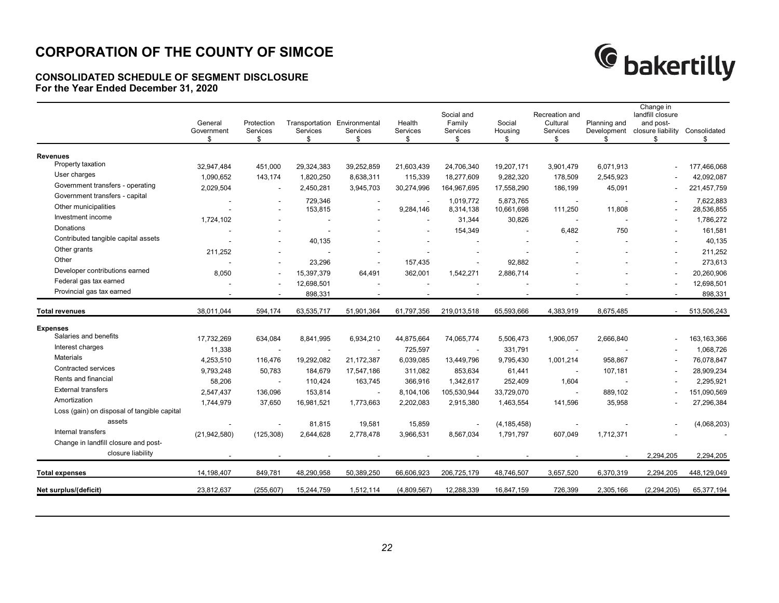# **C** bakertilly

## **CONSOLIDATED SCHEDULE OF SEGMENT DISCLOSURE For the Year Ended December 31, 2020**

|                                             | Government<br>\$. | Protection<br>Services<br>\$ | Services<br>\$ | Transportation Environmental<br>Services<br>\$ | Health<br>Services<br>\$ | Family<br>Services<br>\$ | Social<br>Housing<br>\$ | Recreation and<br>Cultural<br>Services<br>\$ | Planning and<br>Development | landfill closure<br>and post-<br>closure liability Consolidated<br>£. | \$            |
|---------------------------------------------|-------------------|------------------------------|----------------|------------------------------------------------|--------------------------|--------------------------|-------------------------|----------------------------------------------|-----------------------------|-----------------------------------------------------------------------|---------------|
| <b>Revenues</b>                             |                   |                              |                |                                                |                          |                          |                         |                                              |                             |                                                                       |               |
| Property taxation                           | 32,947,484        | 451,000                      | 29,324,383     | 39,252,859                                     | 21,603,439               | 24,706,340               | 19,207,171              | 3,901,479                                    | 6,071,913                   |                                                                       | 177,466,068   |
| User charges                                | 1,090,652         | 143,174                      | 1,820,250      | 8,638,311                                      | 115,339                  | 18,277,609               | 9,282,320               | 178,509                                      | 2,545,923                   |                                                                       | 42,092,087    |
| Government transfers - operating            | 2,029,504         | $\overline{\phantom{a}}$     | 2,450,281      | 3,945,703                                      | 30,274,996               | 164,967,695              | 17,558,290              | 186,199                                      | 45,091                      |                                                                       | 221,457,759   |
| Government transfers - capital              |                   |                              | 729,346        |                                                |                          | 1,019,772                | 5,873,765               |                                              |                             |                                                                       | 7,622,883     |
| Other municipalities                        |                   | $\blacksquare$               | 153,815        |                                                | 9,284,146                | 8,314,138                | 10,661,698              | 111,250                                      | 11,808                      |                                                                       | 28,536,855    |
| Investment income                           | 1,724,102         |                              |                |                                                | $\overline{\phantom{a}}$ | 31,344                   | 30,826                  |                                              |                             |                                                                       | 1,786,272     |
| Donations                                   |                   |                              |                |                                                |                          | 154,349                  |                         | 6,482                                        | 750                         |                                                                       | 161,581       |
| Contributed tangible capital assets         |                   | $\overline{\phantom{a}}$     | 40,135         |                                                |                          |                          |                         |                                              |                             |                                                                       | 40,135        |
| Other grants                                | 211,252           |                              |                |                                                |                          |                          |                         |                                              |                             |                                                                       | 211,252       |
| Other                                       |                   | $\overline{\phantom{a}}$     | 23,296         |                                                | 157,435                  |                          | 92,882                  |                                              |                             |                                                                       | 273,613       |
| Developer contributions earned              | 8,050             | $\overline{\phantom{a}}$     | 15,397,379     | 64,491                                         | 362,001                  | 1,542,271                | 2,886,714               |                                              |                             |                                                                       | 20,260,906    |
| Federal gas tax earned                      |                   | $\overline{\phantom{a}}$     | 12,698,501     |                                                | $\overline{\phantom{a}}$ |                          |                         |                                              |                             |                                                                       | 12,698,501    |
| Provincial gas tax earned                   |                   |                              | 898,331        |                                                |                          |                          |                         |                                              |                             |                                                                       | 898,331       |
| <b>Total revenues</b>                       | 38,011,044        | 594,174                      | 63,535,717     | 51,901,364                                     | 61,797,356               | 219,013,518              | 65,593,666              | 4,383,919                                    | 8,675,485                   | $\sim$                                                                | 513,506,243   |
| <b>Expenses</b>                             |                   |                              |                |                                                |                          |                          |                         |                                              |                             |                                                                       |               |
| Salaries and benefits                       | 17,732,269        | 634,084                      | 8,841,995      | 6,934,210                                      | 44,875,664               | 74,065,774               | 5,506,473               | 1,906,057                                    | 2,666,840                   |                                                                       | 163, 163, 366 |
| Interest charges                            | 11,338            | $\overline{\phantom{a}}$     |                | $\sim$                                         | 725,597                  |                          | 331,791                 | $\overline{\phantom{a}}$                     |                             |                                                                       | 1,068,726     |
| Materials                                   | 4,253,510         | 116,476                      | 19,292,082     | 21,172,387                                     | 6,039,085                | 13,449,796               | 9,795,430               | 1,001,214                                    | 958,867                     |                                                                       | 76,078,847    |
| Contracted services                         | 9,793,248         | 50,783                       | 184,679        | 17,547,186                                     | 311,082                  | 853,634                  | 61,441                  | $\overline{\phantom{a}}$                     | 107,181                     |                                                                       | 28,909,234    |
| Rents and financial                         | 58,206            | $\overline{\phantom{a}}$     | 110,424        | 163,745                                        | 366,916                  | 1,342,617                | 252,409                 | 1,604                                        |                             |                                                                       | 2,295,921     |
| <b>External transfers</b>                   | 2,547,437         | 136,096                      | 153,814        | $\overline{a}$                                 | 8,104,106                | 105,530,944              | 33,729,070              | $\sim$                                       | 889,102                     |                                                                       | 151,090,569   |
| Amortization                                | 1,744,979         | 37,650                       | 16,981,521     | 1,773,663                                      | 2,202,083                | 2,915,380                | 1,463,554               | 141,596                                      | 35,958                      |                                                                       | 27,296,384    |
| Loss (gain) on disposal of tangible capital |                   |                              |                |                                                |                          |                          |                         |                                              |                             |                                                                       |               |
| assets                                      |                   | $\overline{\phantom{a}}$     | 81,815         | 19,581                                         | 15,859                   |                          | (4, 185, 458)           | $\overline{\phantom{a}}$                     |                             |                                                                       | (4,068,203)   |
| Internal transfers                          | (21, 942, 580)    | (125, 308)                   | 2,644,628      | 2,778,478                                      | 3,966,531                | 8,567,034                | 1,791,797               | 607,049                                      | 1,712,371                   |                                                                       |               |
| Change in landfill closure and post-        |                   |                              |                |                                                |                          |                          |                         |                                              |                             |                                                                       |               |
| closure liability                           |                   |                              |                |                                                |                          |                          |                         |                                              |                             | 2,294,205                                                             | 2,294,205     |
| <b>Total expenses</b>                       | 14,198,407        | 849,781                      | 48,290,958     | 50,389,250                                     | 66,606,923               | 206,725,179              | 48,746,507              | 3,657,520                                    | 6,370,319                   | 2,294,205                                                             | 448,129,049   |
| Net surplus/(deficit)                       | 23,812,637        | (255, 607)                   | 15,244,759     | 1,512,114                                      | (4,809,567)              | 12,288,339               | 16,847,159              | 726,399                                      | 2,305,166                   | (2, 294, 205)                                                         | 65,377,194    |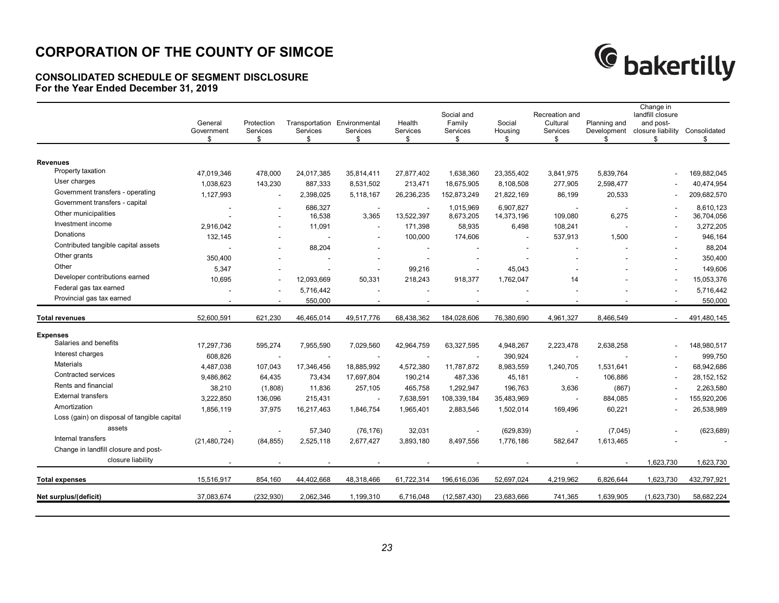## <sup>C</sup>bakertilly

## **CONSOLIDATED SCHEDULE OF SEGMENT DISCLOSURE For the Year Ended December 31, 2019**

|                                             | General<br>Government<br>\$. | Protection<br>Services<br>\$        | Transportation Environmental<br>Services<br>\$ | Services<br>\$                         | Health<br>Services<br>\$ | Social and<br>Family<br>Services<br>\$ | Social<br>Housing<br>\$ | Recreation and<br>Cultural<br>Services<br>\$ | Planning and<br>Development | Change in<br>landfill closure<br>and post-<br>closure liability Consolidated<br>ደ | \$                      |
|---------------------------------------------|------------------------------|-------------------------------------|------------------------------------------------|----------------------------------------|--------------------------|----------------------------------------|-------------------------|----------------------------------------------|-----------------------------|-----------------------------------------------------------------------------------|-------------------------|
| <b>Revenues</b>                             |                              |                                     |                                                |                                        |                          |                                        |                         |                                              |                             |                                                                                   |                         |
| Property taxation                           | 47,019,346                   | 478,000                             | 24,017,385                                     | 35,814,411                             | 27,877,402               | 1,638,360                              | 23,355,402              | 3,841,975                                    | 5,839,764                   |                                                                                   | 169,882,045             |
| User charges                                | 1,038,623                    | 143,230                             | 887,333                                        | 8,531,502                              | 213,471                  | 18,675,905                             | 8,108,508               | 277,905                                      | 2,598,477                   |                                                                                   | 40,474,954              |
| Government transfers - operating            | 1,127,993                    | $\overline{a}$                      | 2,398,025                                      | 5,118,167                              | 26,236,235               | 152,873,249                            | 21,822,169              | 86,199                                       | 20,533                      |                                                                                   | 209,682,570             |
| Government transfers - capital              |                              |                                     |                                                |                                        |                          |                                        |                         |                                              |                             |                                                                                   |                         |
| Other municipalities                        |                              | $\overline{\phantom{a}}$            | 686.327<br>16,538                              | 3,365                                  | 13,522,397               | 1.015.969<br>8,673,205                 | 6,907,827<br>14,373,196 | 109,080                                      | 6,275                       |                                                                                   | 8.610.123<br>36,704,056 |
| Investment income                           | 2,916,042                    |                                     | 11,091                                         |                                        | 171,398                  | 58,935                                 | 6,498                   | 108,241                                      |                             |                                                                                   | 3,272,205               |
| Donations                                   | 132,145                      |                                     |                                                |                                        | 100,000                  | 174,606                                |                         | 537,913                                      | 1,500                       |                                                                                   | 946,164                 |
| Contributed tangible capital assets         |                              |                                     | 88,204                                         |                                        |                          |                                        |                         |                                              |                             |                                                                                   | 88,204                  |
| Other grants                                | 350.400                      |                                     |                                                |                                        |                          |                                        |                         |                                              |                             |                                                                                   | 350,400                 |
| Other                                       | 5,347                        |                                     |                                                |                                        | 99,216                   |                                        | 45,043                  |                                              |                             |                                                                                   | 149,606                 |
| Developer contributions earned              | 10,695                       | $\overline{\phantom{a}}$            | 12,093,669                                     | 50,331                                 | 218,243                  | 918,377                                | 1,762,047               | 14                                           |                             |                                                                                   | 15,053,376              |
| Federal gas tax earned                      |                              |                                     | 5,716,442                                      |                                        |                          |                                        |                         |                                              |                             |                                                                                   | 5,716,442               |
| Provincial gas tax earned                   |                              |                                     | 550,000                                        |                                        |                          |                                        |                         |                                              |                             |                                                                                   | 550,000                 |
| <b>Total revenues</b>                       | 52,600,591                   | 621,230                             | 46,465,014                                     | 49,517,776                             | 68,438,362               | 184,028,606                            | 76,380,690              | 4,961,327                                    | 8,466,549                   | $\overline{a}$                                                                    | 491,480,145             |
|                                             |                              |                                     |                                                |                                        |                          |                                        |                         |                                              |                             |                                                                                   |                         |
| <b>Expenses</b><br>Salaries and benefits    | 17,297,736                   |                                     | 7,955,590                                      | 7,029,560                              |                          |                                        |                         |                                              | 2,638,258                   |                                                                                   | 148,980,517             |
| Interest charges                            | 608,826                      | 595,274                             |                                                |                                        | 42,964,759               | 63,327,595                             | 4,948,267<br>390,924    | 2,223,478                                    |                             |                                                                                   | 999,750                 |
| <b>Materials</b>                            | 4,487,038                    | $\overline{\phantom{a}}$<br>107,043 | 17,346,456                                     | $\overline{\phantom{a}}$<br>18,885,992 | 4,572,380                | 11,787,872                             | 8,983,559               | 1,240,705                                    | 1,531,641                   |                                                                                   | 68,942,686              |
| Contracted services                         | 9,486,862                    | 64,435                              | 73,434                                         | 17,697,804                             | 190,214                  | 487,336                                | 45,181                  |                                              | 106,886                     |                                                                                   | 28, 152, 152            |
| Rents and financial                         | 38,210                       | (1,808)                             | 11,836                                         | 257,105                                | 465,758                  | 1,292,947                              | 196,763                 | 3,636                                        | (867)                       |                                                                                   | 2,263,580               |
| <b>External transfers</b>                   | 3,222,850                    | 136,096                             | 215,431                                        | $\overline{\phantom{a}}$               | 7,638,591                | 108,339,184                            | 35,483,969              |                                              | 884,085                     |                                                                                   | 155,920,206             |
| Amortization                                | 1,856,119                    | 37,975                              | 16,217,463                                     | 1,846,754                              | 1,965,401                | 2,883,546                              | 1,502,014               | 169,496                                      | 60,221                      |                                                                                   | 26,538,989              |
| Loss (gain) on disposal of tangible capital |                              |                                     |                                                |                                        |                          |                                        |                         |                                              |                             |                                                                                   |                         |
| assets                                      |                              | $\overline{\phantom{a}}$            | 57,340                                         | (76, 176)                              | 32,031                   |                                        | (629, 839)              |                                              | (7,045)                     |                                                                                   | (623, 689)              |
| Internal transfers                          | (21, 480, 724)               | (84, 855)                           | 2,525,118                                      | 2,677,427                              | 3,893,180                | 8,497,556                              | 1,776,186               | 582,647                                      | 1,613,465                   |                                                                                   |                         |
| Change in landfill closure and post-        |                              |                                     |                                                |                                        |                          |                                        |                         |                                              |                             |                                                                                   |                         |
| closure liability                           |                              |                                     |                                                |                                        |                          |                                        |                         |                                              |                             | 1,623,730                                                                         | 1,623,730               |
| <b>Total expenses</b>                       | 15,516,917                   | 854,160                             | 44,402,668                                     | 48,318,466                             | 61,722,314               | 196,616,036                            | 52,697,024              | 4,219,962                                    | 6,826,644                   | 1,623,730                                                                         | 432,797,921             |
|                                             |                              |                                     |                                                |                                        |                          |                                        |                         |                                              |                             |                                                                                   |                         |
| Net surplus/(deficit)                       | 37,083,674                   | (232, 930)                          | 2,062,346                                      | 1,199,310                              | 6,716,048                | (12, 587, 430)                         | 23,683,666              | 741,365                                      | 1,639,905                   | (1,623,730)                                                                       | 58,682,224              |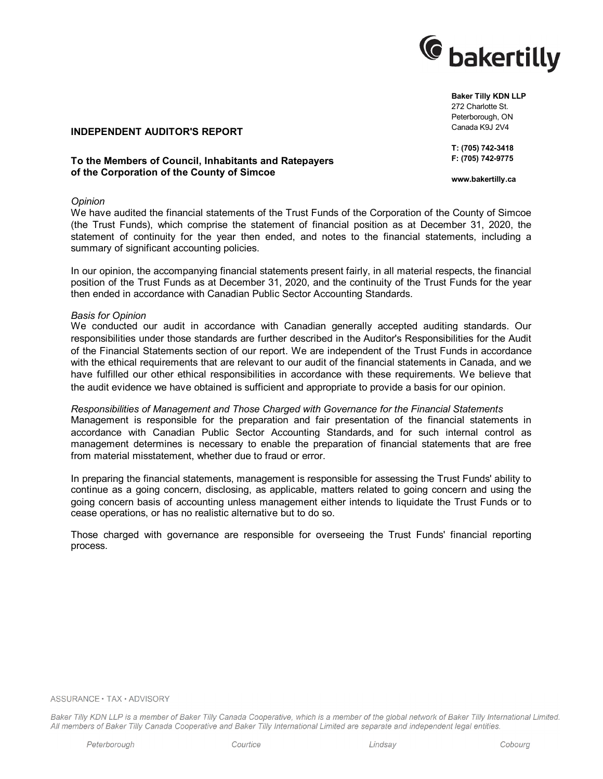

## **Baker Tilly KDN LLP**

272 Charlotte St. Peterborough, ON Canada K9J 2V4

**T: (705) 742-3418 F: (705) 742-9775**

**www.bakertilly.ca**

**INDEPENDENT AUDITOR'S REPORT**

## **To the Members of Council, Inhabitants and Ratepayers of the Corporation of the County of Simcoe**

## *Opinion*

We have audited the financial statements of the Trust Funds of the Corporation of the County of Simcoe (the Trust Funds), which comprise the statement of financial position as at December 31, 2020, the statement of continuity for the year then ended, and notes to the financial statements, including a summary of significant accounting policies.

In our opinion, the accompanying financial statements present fairly, in all material respects, the financial position of the Trust Funds as at December 31, 2020, and the continuity of the Trust Funds for the year then ended in accordance with Canadian Public Sector Accounting Standards.

## *Basis for Opinion*

We conducted our audit in accordance with Canadian generally accepted auditing standards. Our responsibilities under those standards are further described in the Auditor's Responsibilities for the Audit of the Financial Statements section of our report. We are independent of the Trust Funds in accordance with the ethical requirements that are relevant to our audit of the financial statements in Canada, and we have fulfilled our other ethical responsibilities in accordance with these requirements. We believe that the audit evidence we have obtained is sufficient and appropriate to provide a basis for our opinion.

*Responsibilities of Management and Those Charged with Governance for the Financial Statements* Management is responsible for the preparation and fair presentation of the financial statements in

accordance with Canadian Public Sector Accounting Standards, and for such internal control as management determines is necessary to enable the preparation of financial statements that are free from material misstatement, whether due to fraud or error.

In preparing the financial statements, management is responsible for assessing the Trust Funds' ability to continue as a going concern, disclosing, as applicable, matters related to going concern and using the going concern basis of accounting unless management either intends to liquidate the Trust Funds or to cease operations, or has no realistic alternative but to do so.

Those charged with governance are responsible for overseeing the Trust Funds' financial reporting process.

#### ASSURANCE · TAX · ADVISORY

Baker Tilly KDN LLP is a member of Baker Tilly Canada Cooperative, which is a member of the global network of Baker Tilly International Limited. All members of Baker Tilly Canada Cooperative and Baker Tilly International Limited are separate and independent legal entities.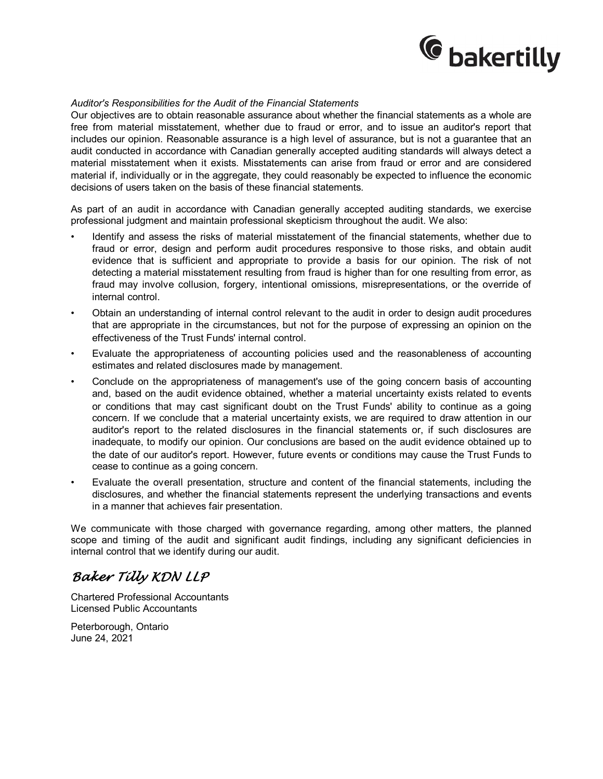

## *Auditor's Responsibilities for the Audit of the Financial Statements*

Our objectives are to obtain reasonable assurance about whether the financial statements as a whole are free from material misstatement, whether due to fraud or error, and to issue an auditor's report that includes our opinion. Reasonable assurance is a high level of assurance, but is not a guarantee that an audit conducted in accordance with Canadian generally accepted auditing standards will always detect a material misstatement when it exists. Misstatements can arise from fraud or error and are considered material if, individually or in the aggregate, they could reasonably be expected to influence the economic decisions of users taken on the basis of these financial statements.

As part of an audit in accordance with Canadian generally accepted auditing standards, we exercise professional judgment and maintain professional skepticism throughout the audit. We also:

- Identify and assess the risks of material misstatement of the financial statements, whether due to fraud or error, design and perform audit procedures responsive to those risks, and obtain audit evidence that is sufficient and appropriate to provide a basis for our opinion. The risk of not detecting a material misstatement resulting from fraud is higher than for one resulting from error, as fraud may involve collusion, forgery, intentional omissions, misrepresentations, or the override of internal control.
- Obtain an understanding of internal control relevant to the audit in order to design audit procedures that are appropriate in the circumstances, but not for the purpose of expressing an opinion on the effectiveness of the Trust Funds' internal control.
- Evaluate the appropriateness of accounting policies used and the reasonableness of accounting estimates and related disclosures made by management.
- Conclude on the appropriateness of management's use of the going concern basis of accounting and, based on the audit evidence obtained, whether a material uncertainty exists related to events or conditions that may cast significant doubt on the Trust Funds' ability to continue as a going concern. If we conclude that a material uncertainty exists, we are required to draw attention in our auditor's report to the related disclosures in the financial statements or, if such disclosures are inadequate, to modify our opinion. Our conclusions are based on the audit evidence obtained up to the date of our auditor's report. However, future events or conditions may cause the Trust Funds to cease to continue as a going concern.
- Evaluate the overall presentation, structure and content of the financial statements, including the disclosures, and whether the financial statements represent the underlying transactions and events in a manner that achieves fair presentation.

We communicate with those charged with governance regarding, among other matters, the planned scope and timing of the audit and significant audit findings, including any significant deficiencies in internal control that we identify during our audit.

## *Baker Tilly KDN LLP*

Chartered Professional Accountants Licensed Public Accountants

Peterborough, Ontario June 24, 2021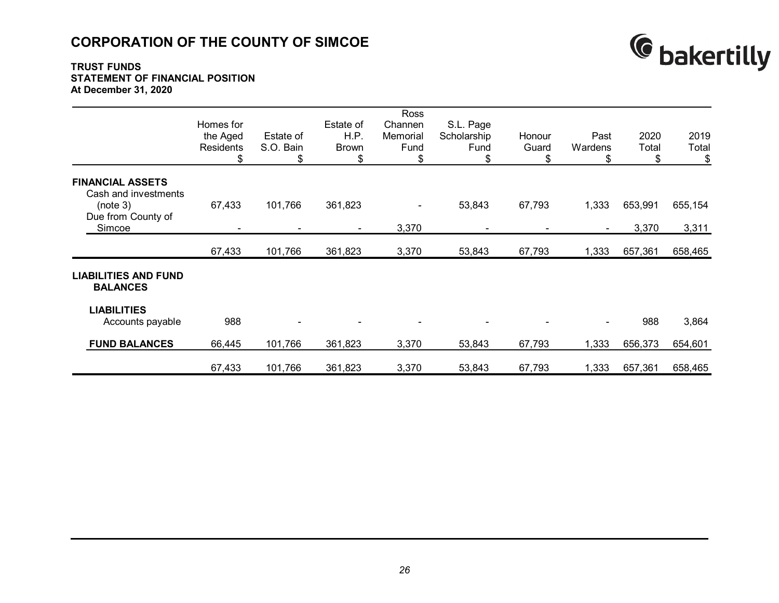

## **TRUST FUNDS**

**STATEMENT OF FINANCIAL POSITION**

**At December 31, 2020**

|                                                             |                        |                 |                    | <b>Ross</b>         |                          |             |                          |             |             |
|-------------------------------------------------------------|------------------------|-----------------|--------------------|---------------------|--------------------------|-------------|--------------------------|-------------|-------------|
|                                                             | Homes for<br>the Aged  | Estate of       | Estate of<br>H.P.  | Channen<br>Memorial | S.L. Page<br>Scholarship | Honour      | Past                     | 2020        | 2019        |
|                                                             | <b>Residents</b><br>\$ | S.O. Bain<br>\$ | <b>Brown</b><br>\$ | Fund<br>\$          | Fund<br>\$               | Guard<br>\$ | Wardens<br>\$            | Total<br>\$ | Total<br>\$ |
|                                                             |                        |                 |                    |                     |                          |             |                          |             |             |
| <b>FINANCIAL ASSETS</b><br>Cash and investments<br>(note 3) | 67,433                 | 101,766         | 361,823            | $\blacksquare$      | 53,843                   | 67,793      | 1,333                    | 653,991     | 655,154     |
| Due from County of                                          |                        |                 |                    |                     |                          |             |                          |             |             |
| Simcoe                                                      |                        |                 | $\blacksquare$     | 3,370               | $\blacksquare$           |             | $\blacksquare$           | 3,370       | 3,311       |
|                                                             | 67,433                 | 101,766         | 361,823            | 3,370               | 53,843                   | 67,793      | 1,333                    | 657,361     | 658,465     |
| <b>LIABILITIES AND FUND</b><br><b>BALANCES</b>              |                        |                 |                    |                     |                          |             |                          |             |             |
| <b>LIABILITIES</b><br>Accounts payable                      | 988                    |                 |                    |                     |                          |             | $\overline{\phantom{0}}$ | 988         | 3,864       |
| <b>FUND BALANCES</b>                                        | 66,445                 | 101,766         | 361,823            | 3,370               | 53,843                   | 67,793      | 1,333                    | 656,373     | 654,601     |
|                                                             | 67,433                 | 101,766         | 361,823            | 3,370               | 53,843                   | 67,793      | 1,333                    | 657,361     | 658,465     |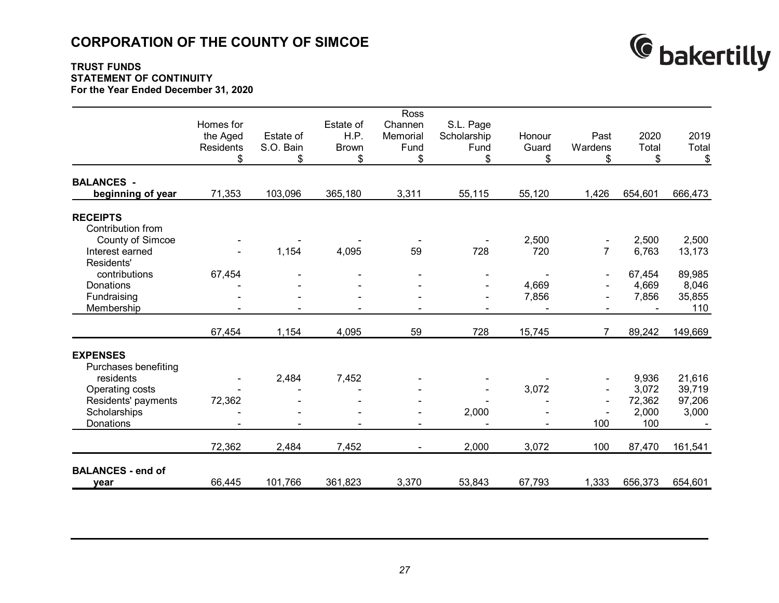

## **TRUST FUNDS**

**STATEMENT OF CONTINUITY For the Year Ended December 31, 2020**

|                          |                  |           |              | Ross     |             |        |                |         |         |
|--------------------------|------------------|-----------|--------------|----------|-------------|--------|----------------|---------|---------|
|                          | Homes for        |           | Estate of    | Channen  | S.L. Page   |        |                |         |         |
|                          | the Aged         | Estate of | H.P.         | Memorial | Scholarship | Honour | Past           | 2020    | 2019    |
|                          | <b>Residents</b> | S.O. Bain | <b>Brown</b> | Fund     | Fund        | Guard  | Wardens        | Total   | Total   |
|                          | \$               | \$        | \$           | \$       | \$          | \$     | \$             | \$      | \$      |
| <b>BALANCES -</b>        |                  |           |              |          |             |        |                |         |         |
| beginning of year        | 71,353           | 103,096   | 365,180      | 3,311    | 55,115      | 55,120 | 1,426          | 654,601 | 666,473 |
| <b>RECEIPTS</b>          |                  |           |              |          |             |        |                |         |         |
| Contribution from        |                  |           |              |          |             |        |                |         |         |
| County of Simcoe         |                  |           |              |          |             | 2,500  |                | 2,500   | 2,500   |
| Interest earned          |                  | 1,154     | 4,095        | 59       | 728         | 720    | $\overline{7}$ | 6,763   | 13,173  |
| Residents'               |                  |           |              |          |             |        |                |         |         |
| contributions            | 67,454           |           |              |          |             |        |                | 67,454  | 89,985  |
| Donations                |                  |           |              |          |             | 4,669  |                | 4,669   | 8,046   |
| Fundraising              |                  |           |              |          |             | 7,856  |                | 7,856   | 35,855  |
| Membership               |                  |           |              |          |             |        |                |         | 110     |
|                          | 67,454           | 1,154     | 4,095        | 59       | 728         | 15,745 | 7              | 89,242  | 149,669 |
| <b>EXPENSES</b>          |                  |           |              |          |             |        |                |         |         |
| Purchases benefiting     |                  |           |              |          |             |        |                |         |         |
| residents                |                  | 2,484     | 7,452        |          |             |        |                | 9,936   | 21,616  |
| Operating costs          |                  |           |              |          |             | 3,072  |                | 3,072   | 39,719  |
| Residents' payments      | 72,362           |           |              |          |             |        | $\blacksquare$ | 72,362  | 97,206  |
| Scholarships             |                  |           |              |          | 2,000       |        |                | 2,000   | 3,000   |
| Donations                |                  |           |              |          |             |        | 100            | 100     |         |
|                          | 72,362           | 2,484     | 7,452        |          | 2,000       | 3,072  | 100            | 87,470  | 161,541 |
| <b>BALANCES - end of</b> |                  |           |              |          |             |        |                |         |         |
| year                     | 66,445           | 101,766   | 361,823      | 3,370    | 53,843      | 67,793 | 1,333          | 656,373 | 654,601 |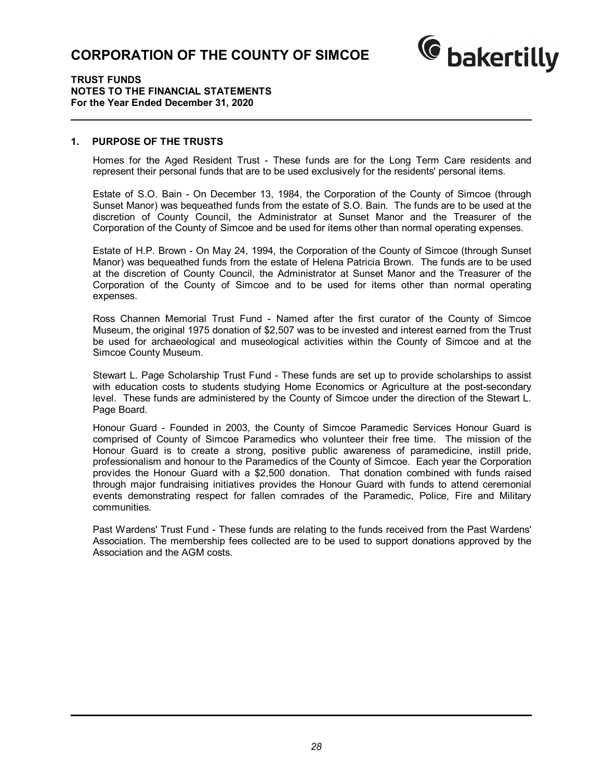

## **TRUST FUNDS NOTES TO THE FINANCIAL STATEMENTS For the Year Ended December 31, 2020**

## **1. PURPOSE OF THE TRUSTS**

Homes for the Aged Resident Trust - These funds are for the Long Term Care residents and represent their personal funds that are to be used exclusively for the residents' personal items.

Estate of S.O. Bain - On December 13, 1984, the Corporation of the County of Simcoe (through Sunset Manor) was bequeathed funds from the estate of S.O. Bain. The funds are to be used at the discretion of County Council, the Administrator at Sunset Manor and the Treasurer of the Corporation of the County of Simcoe and be used for items other than normal operating expenses.

Estate of H.P. Brown - On May 24, 1994, the Corporation of the County of Simcoe (through Sunset Manor) was bequeathed funds from the estate of Helena Patricia Brown. The funds are to be used at the discretion of County Council, the Administrator at Sunset Manor and the Treasurer of the Corporation of the County of Simcoe and to be used for items other than normal operating expenses.

Ross Channen Memorial Trust Fund - Named after the first curator of the County of Simcoe Museum, the original 1975 donation of \$2,507 was to be invested and interest earned from the Trust be used for archaeological and museological activities within the County of Simcoe and at the Simcoe County Museum.

Stewart L. Page Scholarship Trust Fund - These funds are set up to provide scholarships to assist with education costs to students studying Home Economics or Agriculture at the post-secondary level. These funds are administered by the County of Simcoe under the direction of the Stewart L. Page Board.

Honour Guard - Founded in 2003, the County of Simcoe Paramedic Services Honour Guard is comprised of County of Simcoe Paramedics who volunteer their free time. The mission of the Honour Guard is to create a strong, positive public awareness of paramedicine, instill pride, professionalism and honour to the Paramedics of the County of Simcoe. Each year the Corporation provides the Honour Guard with a \$2,500 donation. That donation combined with funds raised through major fundraising initiatives provides the Honour Guard with funds to attend ceremonial events demonstrating respect for fallen comrades of the Paramedic, Police, Fire and Military communities.

Past Wardens' Trust Fund - These funds are relating to the funds received from the Past Wardens' Association. The membership fees collected are to be used to support donations approved by the Association and the AGM costs.